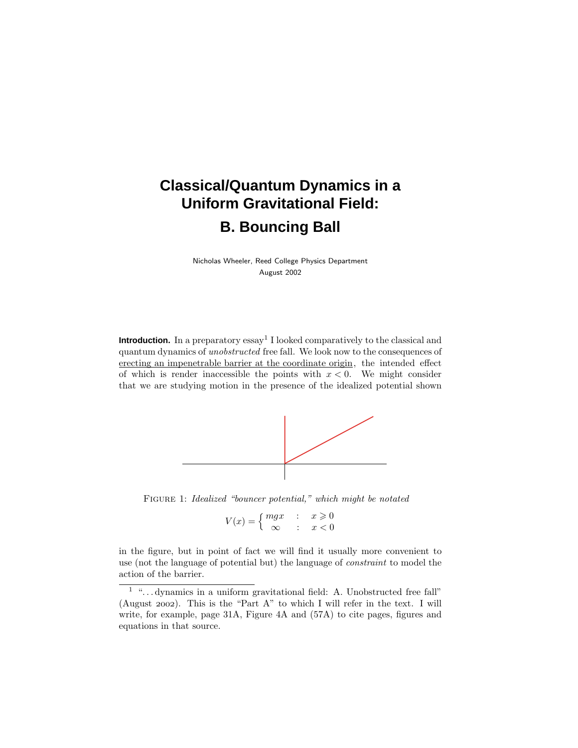# **Classical/Quantum Dynamics in a Uniform Gravitational Field: B. Bouncing Ball**

Nicholas Wheeler, Reed College Physics Department August 2002

**Introduction.** In a preparatory essay<sup>1</sup> I looked comparatively to the classical and quantum dynamics of unobstructed free fall. We look now to the consequences of erecting an impenetrable barrier at the coordinate origin, the intended effect of which is render inaccessible the points with  $x < 0$ . We might consider that we are studying motion in the presence of the idealized potential shown



Figure 1: Idealized "bouncer potential," which might be notated

$$
V(x) = \begin{cases} mgx & : & x \geq 0 \\ \infty & : & x < 0 \end{cases}
$$

in the figure, but in point of fact we will find it usually more convenient to use (not the language of potential but) the language of constraint to model the action of the barrier.

 $1$  " $\dots$  dynamics in a uniform gravitational field: A. Unobstructed free fall" (August 2002). This is the "Part A" to which I will refer in the text. I will write, for example, page 31A, Figure 4A and (57A) to cite pages, figures and equations in that source.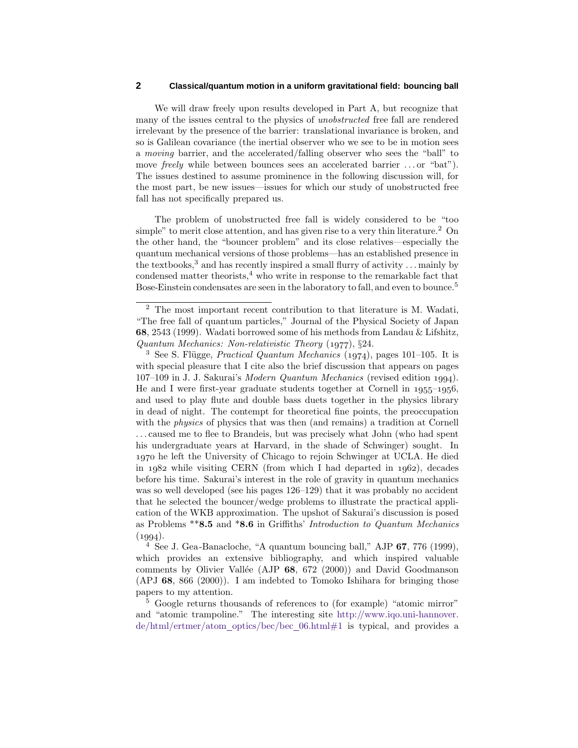We will draw freely upon results developed in Part A, but recognize that many of the issues central to the physics of unobstructed free fall are rendered irrelevant by the presence of the barrier: translational invariance is broken, and so is Galilean covariance (the inertial observer who we see to be in motion sees a moving barrier, and the accelerated/falling observer who sees the "ball" to move *freely* while between bounces sees an accelerated barrier ...or "bat"). The issues destined to assume prominence in the following discussion will, for the most part, be new issues—issues for which our study of unobstructed free fall has not specifically prepared us.

The problem of unobstructed free fall is widely considered to be "too simple" to merit close attention, and has given rise to a very thin literature.<sup>2</sup> On the other hand, the "bouncer problem" and its close relatives—especially the quantum mechanical versions of those problems—has an established presence in the textbooks,<sup>3</sup> and has recently inspired a small flurry of activity *...* mainly by condensed matter theorists, $4$  who write in response to the remarkable fact that Bose-Einstein condensates are seen in the laboratory to fall, and even to bounce.<sup>5</sup>

<sup>4</sup> See J. Gea-Banacloche, "A quantum bouncing ball," AJP **67**, 776 (1999), which provides an extensive bibliography, and which inspired valuable comments by Olivier Vallée (AJP 68, 672 (2000)) and David Goodmanson (APJ **68**, 866 (2000)). I am indebted to Tomoko Ishihara for bringing those papers to my attention.

<sup>5</sup> Google returns thousands of references to (for example) "atomic mirror" and "atomic trampoline." The interesting site http://www.iqo.uni-hannover. de/html/ertmer/atom optics/bec/bec 06.html#1 is typical, and provides a

<sup>2</sup> The most important recent contribution to that literature is M. Wadati, "The free fall of quantum particles," Journal of the Physical Society of Japan **68**, 2543 (1999). Wadati borrowed some of his methods from Landau & Lifshitz, Quantum Mechanics: Non-relativistic Theory  $(1977), §24$ .

<sup>&</sup>lt;sup>3</sup> See S. Flügge, *Practical Quantum Mechanics* (1974), pages 101–105. It is with special pleasure that I cite also the brief discussion that appears on pages 107–109 in J. J. Sakurai's Modern Quantum Mechanics (revised edition 1994). He and I were first-year graduate students together at Cornell in  $1955-1956$ . and used to play flute and double bass duets together in the physics library in dead of night. The contempt for theoretical fine points, the preoccupation with the physics of physics that was then (and remains) a tradition at Cornell ... caused me to flee to Brandeis, but was precisely what John (who had spent his undergraduate years at Harvard, in the shade of Schwinger) sought. In 1970 he left the University of Chicago to rejoin Schwinger at UCLA. He died in  $1982$  while visiting CERN (from which I had departed in  $1962$ ), decades before his time. Sakurai's interest in the role of gravity in quantum mechanics was so well developed (see his pages 126–129) that it was probably no accident that he selected the bouncer/wedge problems to illustrate the practical application of the WKB approximation. The upshot of Sakurai's discussion is posed as Problems \*\***8.5** and \***8.6** in Griffiths' Introduction to Quantum Mechanics  $(1994).$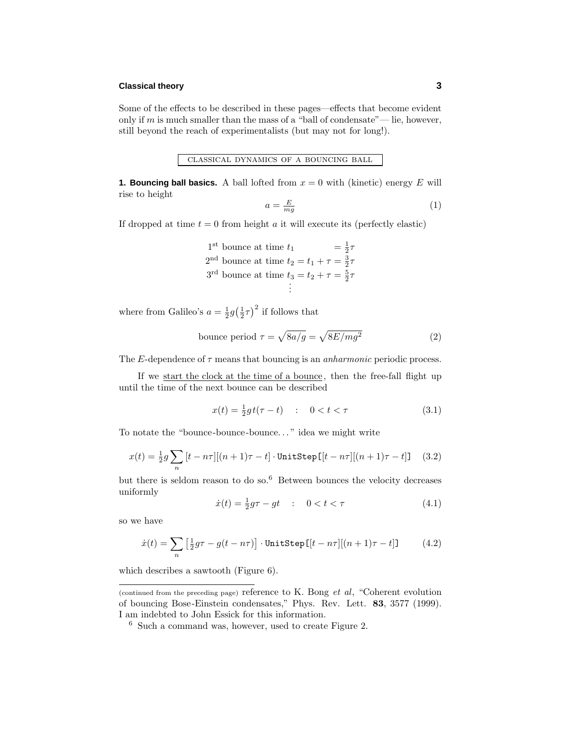# **Classical theory 3**

Some of the effects to be described in these pages—effects that become evident only if  $m$  is much smaller than the mass of a "ball of condensate"— lie, however, still beyond the reach of experimentalists (but may not for long!).

classical dynamics of a bouncing ball

**1. Bouncing ball basics.** A ball lofted from  $x = 0$  with (kinetic) energy  $E$  will rise to height

$$
a = \frac{E}{mg} \tag{1}
$$

If dropped at time  $t = 0$  from height  $a$  it will execute its (perfectly elastic)

1<sup>st</sup> bounce at time 
$$
t_1
$$
 =  $\frac{1}{2}\tau$   
2<sup>nd</sup> bounce at time  $t_2 = t_1 + \tau = \frac{3}{2}\tau$   
3<sup>rd</sup> bounce at time  $t_3 = t_2 + \tau = \frac{5}{2}\tau$   
:

where from Galileo's  $a = \frac{1}{2}g(\frac{1}{2}\tau)^2$  if follows that

bounce period 
$$
\tau = \sqrt{8a/g} = \sqrt{8E/mg^2}
$$
 (2)

The *E*-dependence of  $\tau$  means that bouncing is an *anharmonic* periodic process.

If we start the clock at the time of a bounce, then the free-fall flight up until the time of the next bounce can be described

$$
x(t) = \frac{1}{2}gt(\tau - t) \quad : \quad 0 < t < \tau \tag{3.1}
$$

To notate the "bounce-bounce-bounce*...* " idea we might write

$$
x(t) = \frac{1}{2}g\sum_{n}\left[t - n\tau\right]\left[(n+1)\tau - t\right] \cdot \text{UnitStep}\left([t - n\tau]\right[(n+1)\tau - t]\mathbf{J} \quad (3.2)
$$

but there is seldom reason to do so. $6$  Between bounces the velocity decreases uniformly

$$
\dot{x}(t) = \frac{1}{2}g\tau - gt \quad : \quad 0 < t < \tau \tag{4.1}
$$

so we have

$$
\dot{x}(t) = \sum_{n} \left[ \frac{1}{2} g\tau - g(t - n\tau) \right] \cdot \text{UnitStep} \left[ \left[ t - n\tau \right] \right] \left( (n+1)\tau - t \right] \tag{4.2}
$$

which describes a sawtooth (Figure 6).

<sup>(</sup>continued from the preceding page) reference to K. Bong et al, "Coherent evolution of bouncing Bose-Einstein condensates," Phys. Rev. Lett. **83**, 3577 (1999). I am indebted to John Essick for this information.

<sup>6</sup> Such a command was, however, used to create Figure 2.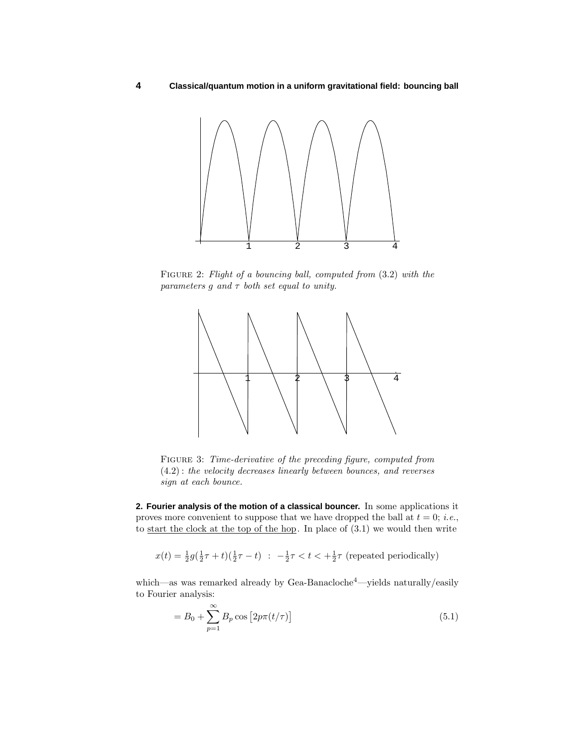

Figure 2: Flight of a bouncing ball, computed from (3*.*2) with the parameters  $g$  and  $\tau$  both set equal to unity.



Figure 3: Time-derivative of the preceding figure, computed from (4*.*2) : the velocity decreases linearly between bounces, and reverses sign at each bounce.

**2. Fourier analysis of the motion of a classical bouncer.** In some applications it proves more convenient to suppose that we have dropped the ball at  $t = 0$ ; *i.e.*, to start the clock at the top of the hop. In place of  $(3.1)$  we would then write

$$
x(t) = \frac{1}{2}g(\frac{1}{2}\tau + t)(\frac{1}{2}\tau - t) \; : \; -\frac{1}{2}\tau < t < +\frac{1}{2}\tau \text{ (repeated periodically)}
$$

which—as was remarked already by Gea-Banacloche<sup>4</sup>—yields naturally/easily to Fourier analysis:

$$
=B_0+\sum_{p=1}^{\infty}B_p\cos\left[2p\pi(t/\tau)\right]
$$
\n(5.1)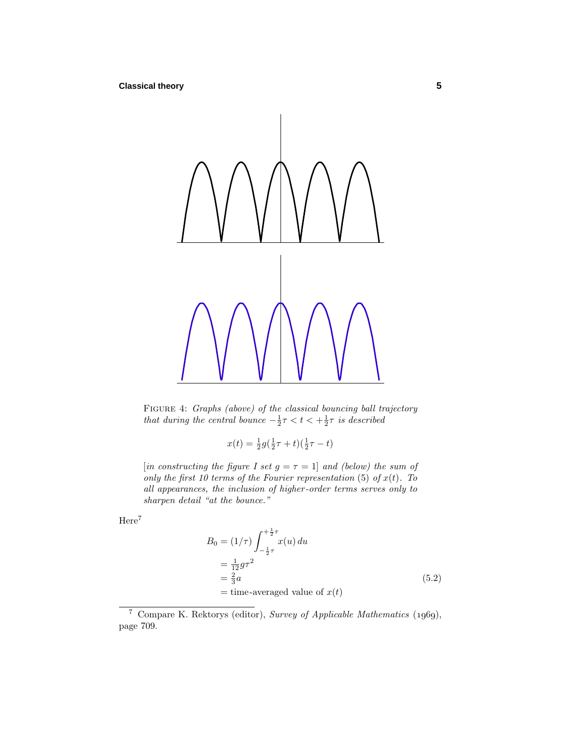

FIGURE 4: Graphs (above) of the classical bouncing ball trajectory that during the central bounce  $-\frac{1}{2}\tau < t < +\frac{1}{2}\tau$  is described

$$
x(t) = \frac{1}{2}g(\frac{1}{2}\tau + t)(\frac{1}{2}\tau - t)
$$

[in constructing the figure I set  $g = \tau = 1$ ] and (below) the sum of only the first 10 terms of the Fourier representation (5) of  $x(t)$ . To all appearances, the inclusion of higher -order terms serves only to sharpen detail "at the bounce."

Here<sup>7</sup>

$$
B_0 = (1/\tau) \int_{-\frac{1}{2}\tau}^{\frac{1}{2}\tau} x(u) du
$$
  
=  $\frac{1}{12} g \tau^2$   
=  $\frac{2}{3} a$   
= time-averaged value of  $x(t)$  (5.2)

<sup>&</sup>lt;sup>7</sup> Compare K. Rektorys (editor), Survey of Applicable Mathematics  $(1969)$ , page 709.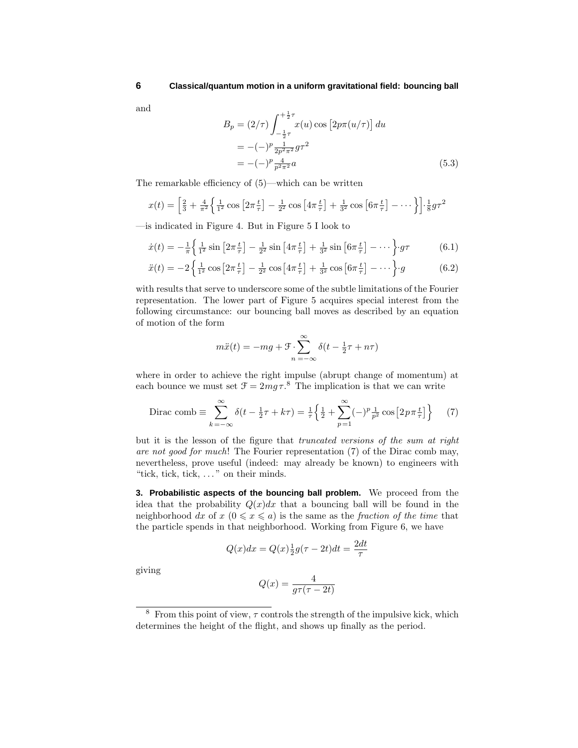and

$$
B_p = (2/\tau) \int_{-\frac{1}{2}\tau}^{\frac{1}{2}\tau} x(u) \cos [2p\pi(u/\tau)] du
$$
  
= -(-)^p \frac{1}{2p^2 \pi^2} g \tau^2  
= -(-)^p \frac{4}{p^2 \pi^2} a \qquad (5.3)

The remarkable efficiency of (5)—which can be written

$$
x(t) = \left[\frac{2}{3} + \frac{4}{\pi^2} \left\{ \frac{1}{1^2} \cos \left[ 2\pi \frac{t}{\tau} \right] - \frac{1}{2^2} \cos \left[ 4\pi \frac{t}{\tau} \right] + \frac{1}{3^2} \cos \left[ 6\pi \frac{t}{\tau} \right] - \dots \right\} \right] \cdot \frac{1}{8} g \tau^2
$$

—is indicated in Figure 4. But in Figure 5 I look to

$$
\dot{x}(t) = -\frac{1}{\pi} \left\{ \frac{1}{1^2} \sin \left[ 2\pi \frac{t}{\tau} \right] - \frac{1}{2^2} \sin \left[ 4\pi \frac{t}{\tau} \right] + \frac{1}{3^2} \sin \left[ 6\pi \frac{t}{\tau} \right] - \dots \right\} \cdot g\tau \tag{6.1}
$$

$$
\ddot{x}(t) = -2\left\{\frac{1}{1^2}\cos\left[2\pi\frac{t}{\tau}\right] - \frac{1}{2^2}\cos\left[4\pi\frac{t}{\tau}\right] + \frac{1}{3^2}\cos\left[6\pi\frac{t}{\tau}\right] - \cdots\right\}g\tag{6.2}
$$

with results that serve to underscore some of the subtle limitations of the Fourier representation. The lower part of Figure 5 acquires special interest from the following circumstance: our bouncing ball moves as described by an equation of motion of the form

$$
m\ddot{x}(t) = -mg + \mathcal{F} \cdot \sum_{n=-\infty}^{\infty} \delta(t - \frac{1}{2}\tau + n\tau)
$$

where in order to achieve the right impulse (abrupt change of momentum) at each bounce we must set  $\mathcal{F} = 2mg\tau$ .<sup>8</sup> The implication is that we can write

Dirac comb 
$$
\equiv \sum_{k=-\infty}^{\infty} \delta(t - \frac{1}{2}\tau + k\tau) = \frac{1}{\tau} \left\{ \frac{1}{2} + \sum_{p=1}^{\infty} (-)^p \frac{1}{p^2} \cos\left[2p\pi \frac{t}{\tau}\right] \right\}
$$
 (7)

but it is the lesson of the figure that truncated versions of the sum at right are not good for much! The Fourier representation (7) of the Dirac comb may, nevertheless, prove useful (indeed: may already be known) to engineers with "tick, tick, tick, *...* " on their minds.

**3. Probabilistic aspects of the bouncing ball problem.** We proceed from the idea that the probability  $Q(x)dx$  that a bouncing ball will be found in the neighborhood dx of  $x \leq a$  is the same as the *fraction of the time* that the particle spends in that neighborhood. Working from Figure 6, we have

$$
Q(x)dx = Q(x)\frac{1}{2}g(\tau - 2t)dt = \frac{2dt}{\tau}
$$

giving

$$
Q(x) = \frac{4}{g\tau(\tau - 2t)}
$$

<sup>&</sup>lt;sup>8</sup> From this point of view,  $\tau$  controls the strength of the impulsive kick, which determines the height of the flight, and shows up finally as the period.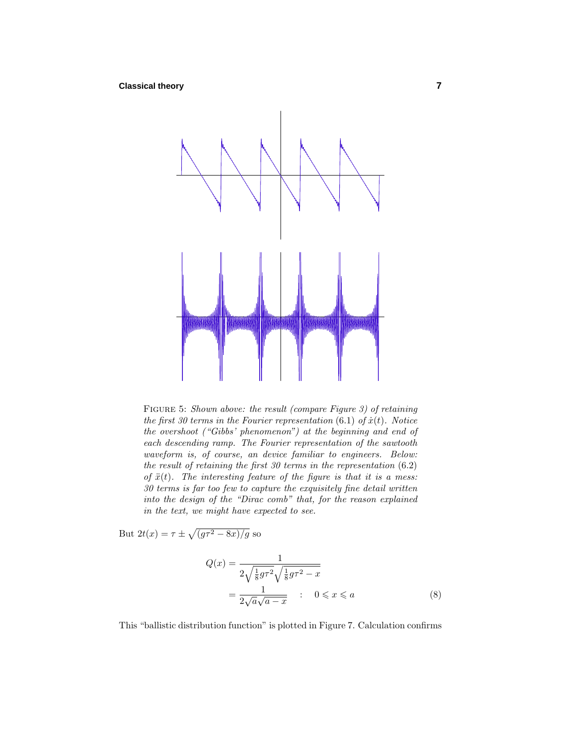

Figure 5: Shown above: the result (compare Figure 3) of retaining the first 30 terms in the Fourier representation  $(6.1)$  of  $\dot{x}(t)$ . Notice the overshoot ("Gibbs' phenomenon") at the beginning and end of each descending ramp. The Fourier representation of the sawtooth waveform is, of course, an device familiar to engineers. Below: the result of retaining the first 30 terms in the representation (6*.*2) of  $\ddot{x}(t)$ . The interesting feature of the figure is that it is a mess: 30 terms is far too few to capture the exquisitely fine detail written into the design of the "Dirac comb" that, for the reason explained in the text, we might have expected to see.

But  $2t(x) = \tau \pm \sqrt{(g\tau^2 - 8x)/g}$  so

$$
Q(x) = \frac{1}{2\sqrt{\frac{1}{8}g\tau^2}\sqrt{\frac{1}{8}g\tau^2 - x}}
$$

$$
= \frac{1}{2\sqrt{a}\sqrt{a-x}} \quad : \quad 0 \leq x \leq a \tag{8}
$$

This "ballistic distribution function" is plotted in Figure 7. Calculation confirms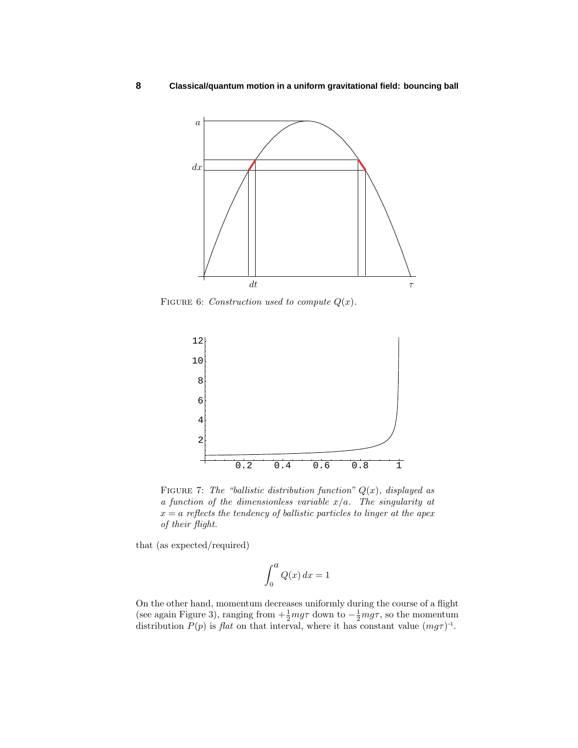**8 Classical/quantum motion in a uniform gravitational field: bouncing ball**



FIGURE 6: Construction used to compute  $Q(x)$ .



FIGURE 7: The "ballistic distribution function"  $Q(x)$ , displayed as a function of the dimensionless variable *x/a*. The singularity at  $x = a$  reflects the tendency of ballistic particles to linger at the apex of their flight.

that (as expected/required)

$$
\int_0^a Q(x) \, dx = 1
$$

On the other hand, momentum decreases uniformly during the course of a flight (see again Figure 3), ranging from  $+\frac{1}{2}mg\tau$  down to  $-\frac{1}{2}mg\tau$ , so the momentum distribution  $P(p)$  is flat on that interval, where it has constant value  $(mg\tau)^{-1}$ .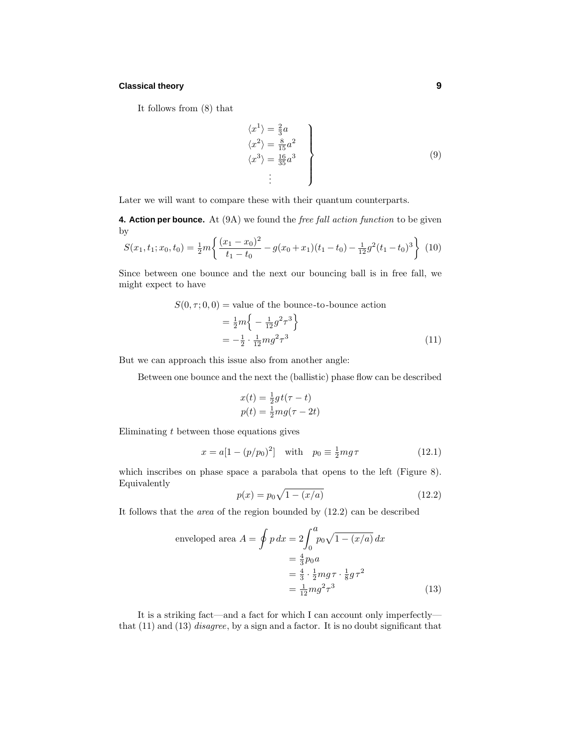# **Classical theory 9**

It follows from (8) that

$$
\langle x^{1} \rangle = \frac{2}{3}a
$$
  
\n
$$
\langle x^{2} \rangle = \frac{8}{15}a^{2}
$$
  
\n
$$
\langle x^{3} \rangle = \frac{16}{35}a^{3}
$$
  
\n
$$
\vdots
$$
\n(9)

Later we will want to compare these with their quantum counterparts.

**4. Action per bounce.** At (9A) we found the *free fall action function* to be given by

$$
S(x_1, t_1; x_0, t_0) = \frac{1}{2}m \left\{ \frac{(x_1 - x_0)^2}{t_1 - t_0} - g(x_0 + x_1)(t_1 - t_0) - \frac{1}{12}g^2(t_1 - t_0)^3 \right\}
$$
(10)

Since between one bounce and the next our bouncing ball is in free fall, we might expect to have

$$
S(0, \tau; 0, 0) = \text{value of the bounce-to-bounce action}
$$

$$
= \frac{1}{2}m \left\{-\frac{1}{12}g^2 \tau^3\right\}
$$

$$
= -\frac{1}{2} \cdot \frac{1}{12}mg^2 \tau^3
$$
(11)

But we can approach this issue also from another angle:

Between one bounce and the next the (ballistic) phase flow can be described

$$
x(t) = \frac{1}{2}gt(\tau - t)
$$
  

$$
p(t) = \frac{1}{2}mg(\tau - 2t)
$$

Eliminating *t* between those equations gives

$$
x = a[1 - (p/p_0)^2] \text{ with } p_0 \equiv \frac{1}{2}mg\tau \tag{12.1}
$$

which inscribes on phase space a parabola that opens to the left (Figure 8). Equivalently

$$
p(x) = p_0 \sqrt{1 - (x/a)}
$$
 (12.2)

It follows that the area of the region bounded by (12.2) can be described

enveloped area 
$$
A = \oint p dx = 2 \int_0^a p_0 \sqrt{1 - (x/a)} dx
$$
  
\n $= \frac{4}{3} p_0 a$   
\n $= \frac{4}{3} \cdot \frac{1}{2} m g \tau \cdot \frac{1}{8} g \tau^2$   
\n $= \frac{1}{12} m g^2 \tau^3$  (13)

It is a striking fact—and a fact for which I can account only imperfectly that (11) and (13) disagree, by a sign and a factor. It is no doubt significant that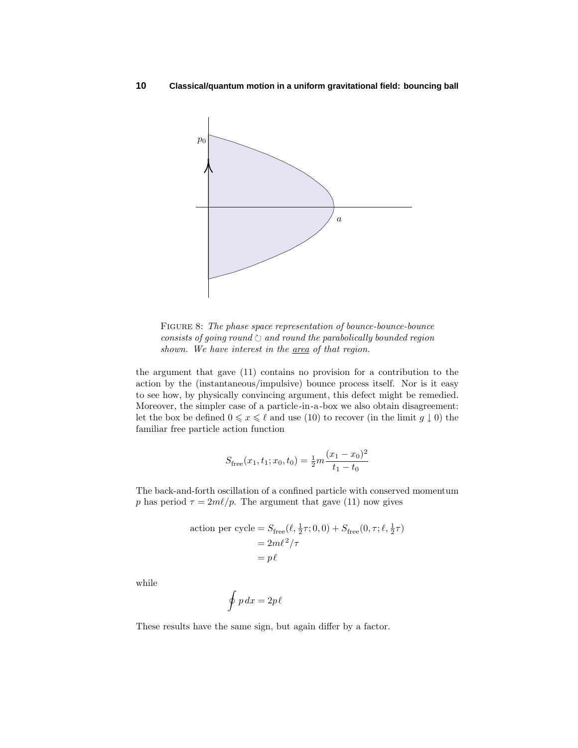

FIGURE 8: The phase space representation of bounce-bounce-bounce consists of going round  $\circlearrowright$  and round the parabolically bounded region shown. We have interest in the area of that region.

the argument that gave (11) contains no provision for a contribution to the action by the (instantaneous/impulsive) bounce process itself. Nor is it easy to see how, by physically convincing argument, this defect might be remedied. Moreover, the simpler case of a particle-in-a-box we also obtain disagreement: let the box be defined  $0 \leq x \leq \ell$  and use (10) to recover (in the limit  $g \downarrow 0$ ) the familiar free particle action function

$$
S_{\text{free}}(x_1, t_1; x_0, t_0) = \frac{1}{2}m \frac{(x_1 - x_0)^2}{t_1 - t_0}
$$

The back-and-forth oscillation of a confined particle with conserved momentum *p* has period  $\tau = 2m\ell/p$ . The argument that gave (11) now gives

action per cycle = 
$$
S_{\text{free}}(\ell, \frac{1}{2}\tau; 0, 0) + S_{\text{free}}(0, \tau; \ell, \frac{1}{2}\tau)
$$
  
=  $2m\ell^2/\tau$   
=  $p\ell$ 

while

$$
\oint p\,dx = 2p\ell
$$

These results have the same sign, but again differ by a factor.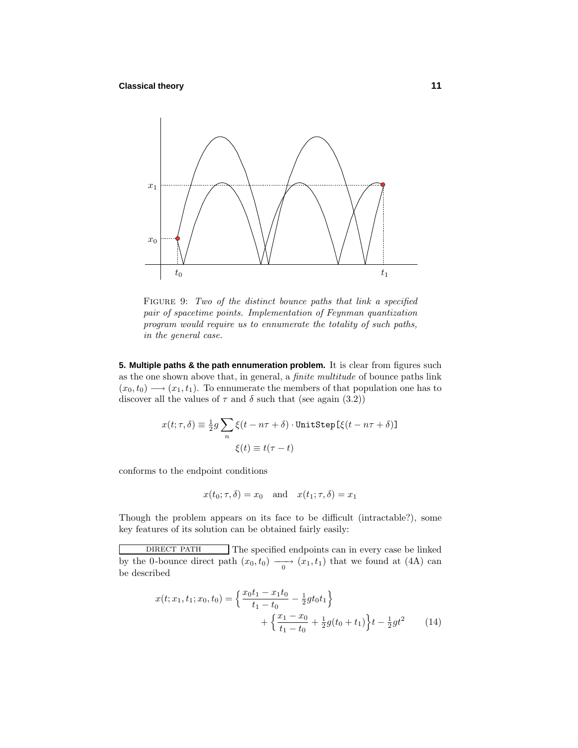

FIGURE 9: Two of the distinct bounce paths that link a specified pair of spacetime points. Implementation of Feynman quantization program would require us to ennumerate the totality of such paths, in the general case.

**5. Multiple paths & the path ennumeration problem.** It is clear from figures such as the one shown above that, in general, a finite multitude of bounce paths link  $(x_0, t_0) \longrightarrow (x_1, t_1)$ . To ennumerate the members of that population one has to discover all the values of  $\tau$  and  $\delta$  such that (see again (3.2))

$$
x(t; \tau, \delta) \equiv \frac{1}{2}g \sum_{n} \xi(t - n\tau + \delta) \cdot \text{UnitStep}[\xi(t - n\tau + \delta)]
$$

$$
\xi(t) \equiv t(\tau - t)
$$

conforms to the endpoint conditions

$$
x(t_0; \tau, \delta) = x_0
$$
 and  $x(t_1; \tau, \delta) = x_1$ 

Though the problem appears on its face to be difficult (intractable?), some key features of its solution can be obtained fairly easily:

$$
x(t; x_1, t_1; x_0, t_0) = \left\{ \frac{x_0 t_1 - x_1 t_0}{t_1 - t_0} - \frac{1}{2} g t_0 t_1 \right\} + \left\{ \frac{x_1 - x_0}{t_1 - t_0} + \frac{1}{2} g (t_0 + t_1) \right\} t - \frac{1}{2} g t^2 \tag{14}
$$

DIRECT PATH The specified endpoints can in every case be linked by the 0-bounce direct path  $(x_0, t_0) \longrightarrow (x_1, t_1)$  that we found at (4A) can be described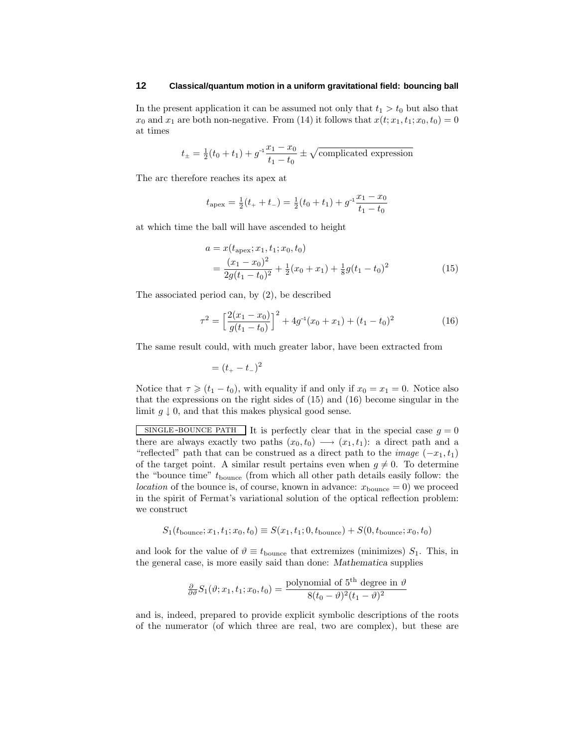In the present application it can be assumed not only that  $t_1 > t_0$  but also that  $x_0$  and  $x_1$  are both non-negative. From (14) it follows that  $x(t; x_1, t_1; x_0, t_0) = 0$ at times

$$
t_{\pm} = \frac{1}{2}(t_0 + t_1) + g^{-1}\frac{x_1 - x_0}{t_1 - t_0} \pm \sqrt{\text{complicated expression}}
$$

The arc therefore reaches its apex at

$$
t_{\text{apex}} = \frac{1}{2}(t_{+} + t_{-}) = \frac{1}{2}(t_{0} + t_{1}) + g^{-1}\frac{x_{1} - x_{0}}{t_{1} - t_{0}}
$$

at which time the ball will have ascended to height

$$
a = x(t_{\text{apex}}; x_1, t_1; x_0, t_0)
$$
  
= 
$$
\frac{(x_1 - x_0)^2}{2g(t_1 - t_0)^2} + \frac{1}{2}(x_0 + x_1) + \frac{1}{8}g(t_1 - t_0)^2
$$
 (15)

The associated period can, by (2), be described

$$
\tau^2 = \left[\frac{2(x_1 - x_0)}{g(t_1 - t_0)}\right]^2 + 4g^{-1}(x_0 + x_1) + (t_1 - t_0)^2 \tag{16}
$$

The same result could, with much greater labor, have been extracted from

$$
= (t_{+} - t_{-})^{2}
$$

Notice that  $\tau \geq (t_1 - t_0)$ , with equality if and only if  $x_0 = x_1 = 0$ . Notice also that the expressions on the right sides of (15) and (16) become singular in the limit  $g \downarrow 0$ , and that this makes physical good sense.

SINGLE-BOUNCE PATH It is perfectly clear that in the special case  $g = 0$ there are always exactly two paths  $(x_0, t_0) \longrightarrow (x_1, t_1)$ : a direct path and a "reflected" path that can be construed as a direct path to the *image*  $(-x_1, t_1)$ of the target point. A similar result pertains even when  $g \neq 0$ . To determine the "bounce time"  $t_{\text{bounce}}$  (from which all other path details easily follow: the *location* of the bounce is, of course, known in advance:  $x_{\text{bounce}} = 0$  we proceed in the spirit of Fermat's variational solution of the optical reflection problem: we construct

$$
S_1(t_{\text{bounce}}; x_1, t_1; x_0, t_0) \equiv S(x_1, t_1; 0, t_{\text{bounce}}) + S(0, t_{\text{bounce}}; x_0, t_0)
$$

and look for the value of  $\vartheta \equiv t_{\text{bounce}}$  that extremizes (minimizes)  $S_1$ . This, in the general case, is more easily said than done: *Mathematica* supplies

$$
\frac{\partial}{\partial \theta} S_1(\vartheta; x_1, t_1; x_0, t_0) = \frac{\text{polynomial of 5th degree in } \vartheta}{8(t_0 - \vartheta)^2(t_1 - \vartheta)^2}
$$

and is, indeed, prepared to provide explicit symbolic descriptions of the roots of the numerator (of which three are real, two are complex), but these are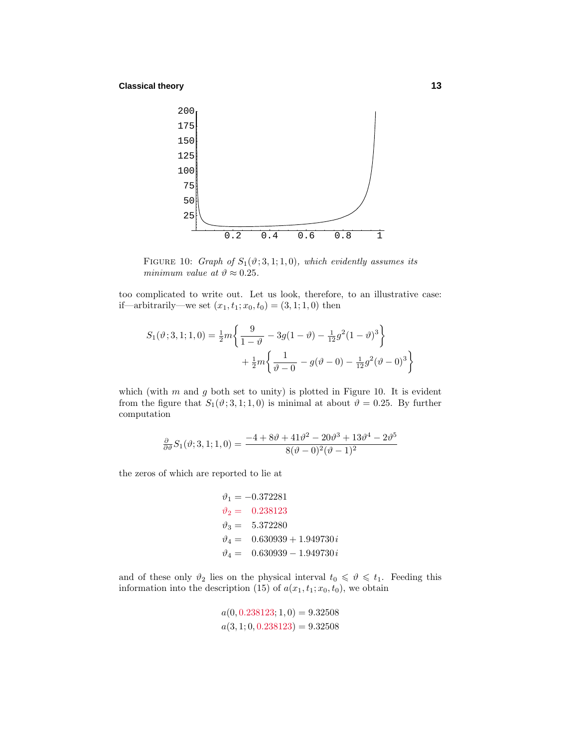**Classical theory 13**



FIGURE 10: Graph of  $S_1(\vartheta; 3, 1; 1, 0)$ , which evidently assumes its minimum value at  $\vartheta \approx 0.25$ .

too complicated to write out. Let us look, therefore, to an illustrative case: if—arbitrarily—we set  $(x_1, t_1; x_0, t_0) = (3, 1; 1, 0)$  then

$$
S_1(\vartheta; 3, 1; 1, 0) = \frac{1}{2}m \left\{ \frac{9}{1-\vartheta} - 3g(1-\vartheta) - \frac{1}{12}g^2(1-\vartheta)^3 \right\} + \frac{1}{2}m \left\{ \frac{1}{\vartheta - 0} - g(\vartheta - 0) - \frac{1}{12}g^2(\vartheta - 0)^3 \right\}
$$

which (with *m* and *g* both set to unity) is plotted in Figure 10. It is evident from the figure that  $S_1(\vartheta; 3, 1; 1, 0)$  is minimal at about  $\vartheta = 0.25$ . By further computation

$$
\frac{\partial}{\partial \theta} S_1(\vartheta; 3, 1; 1, 0) = \frac{-4 + 8\vartheta + 41\vartheta^2 - 20\vartheta^3 + 13\vartheta^4 - 2\vartheta^5}{8(\vartheta - 0)^2(\vartheta - 1)^2}
$$

the zeros of which are reported to lie at

$$
\vartheta_1 = -0.372281
$$
  
\n
$$
\vartheta_2 = 0.238123
$$
  
\n
$$
\vartheta_3 = 5.372280
$$
  
\n
$$
\vartheta_4 = 0.630939 + 1.949730 i
$$
  
\n
$$
\vartheta_4 = 0.630939 - 1.949730 i
$$

and of these only  $\vartheta_2$  lies on the physical interval  $t_0 \leq \vartheta \leq t_1$ . Feeding this information into the description (15) of  $a(x_1, t_1; x_0, t_0)$ , we obtain

$$
a(0, 0.238123; 1, 0) = 9.32508
$$
  

$$
a(3, 1; 0, 0.238123) = 9.32508
$$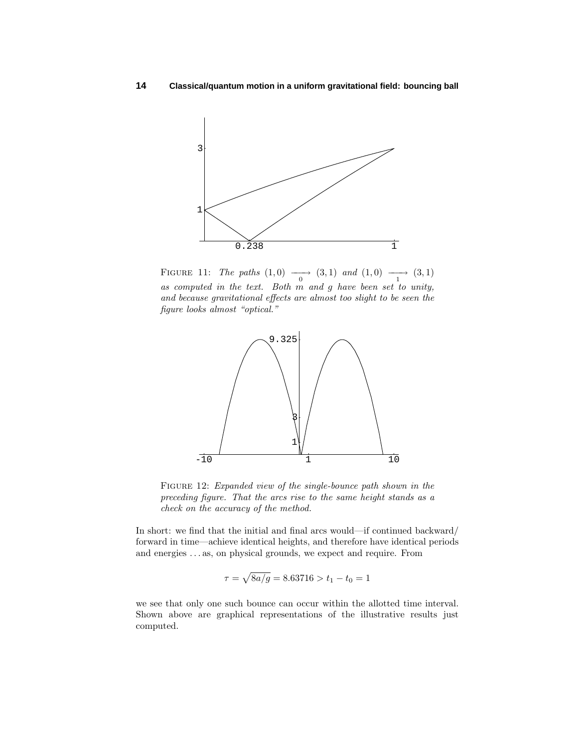

FIGURE 11: The paths  $(1,0) \longrightarrow (3,1)$  and  $(1,0) \longrightarrow (3,1)$ as computed in the text. Both *m* and *g* have been set to unity, and because gravitational effects are almost too slight to be seen the figure looks almost "optical."



FIGURE 12: *Expanded view of the single-bounce path shown in the* preceding figure. That the arcs rise to the same height stands as a check on the accuracy of the method.

In short: we find that the initial and final arcs would—if continued backward/ forward in time—achieve identical heights, and therefore have identical periods and energies *...* as, on physical grounds, we expect and require. From

$$
\tau = \sqrt{8a/g} = 8.63716 > t_1 - t_0 = 1
$$

we see that only one such bounce can occur within the allotted time interval. Shown above are graphical representations of the illustrative results just computed.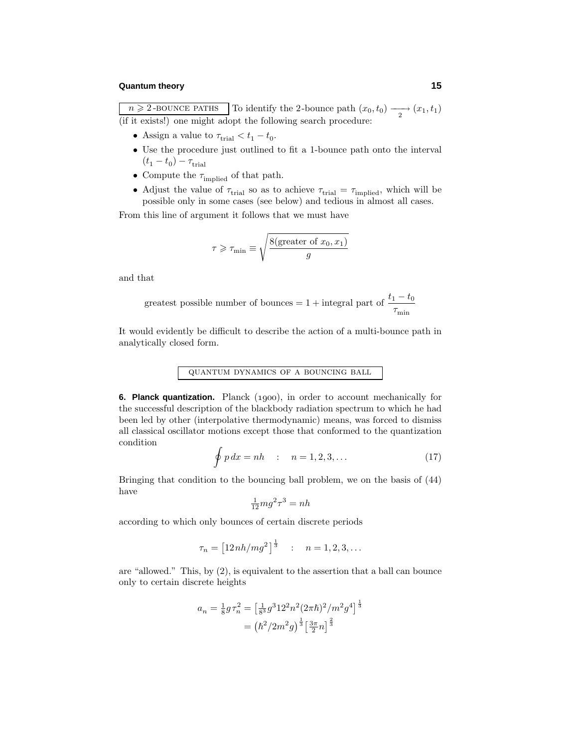$n \geq 2$ -BOUNCE PATHS To identify the 2-bounce path  $(x_0, t_0) \longrightarrow (x_1, t_1)$ (if it exists!) one might adopt the following search procedure:

- Assign a value to  $\tau_{\text{trial}} < t_1 t_0$ .
- Use the procedure just outlined to fit a 1-bounce path onto the interval  $(t_1 - t_0) - \tau_{\text{trial}}$
- Compute the  $\tau_{\rm implied}$  of that path.
- Adjust the value of  $\tau_{\text{trial}}$  so as to achieve  $\tau_{\text{trial}} = \tau_{\text{implicit}}$ , which will be possible only in some cases (see below) and tedious in almost all cases.

From this line of argument it follows that we must have

$$
\tau \geqslant \tau_{\min} \equiv \sqrt{\frac{8(\text{greater of } x_0, x_1)}{g}}
$$

and that

greatest possible number of bounces = 1 + integral part of 
$$
\frac{t_1 - t_0}{\tau_{\min}}
$$

It would evidently be difficult to describe the action of a multi-bounce path in analytically closed form.

# quantum dynamics of a bouncing ball

**6. Planck quantization.** Planck (1900), in order to account mechanically for the successful description of the blackbody radiation spectrum to which he had been led by other (interpolative thermodynamic) means, was forced to dismiss all classical oscillator motions except those that conformed to the quantization condition

$$
\oint p\,dx = nh \qquad : \quad n = 1, 2, 3, \dots \tag{17}
$$

Bringing that condition to the bouncing ball problem, we on the basis of (44) have

$$
\frac{1}{12}mg^2\tau^3 = nh
$$

according to which only bounces of certain discrete periods

$$
\tau_n = \left[12nh/mg^2\right]^{\frac{1}{3}} \quad : \quad n = 1, 2, 3, \dots
$$

are "allowed." This, by (2), is equivalent to the assertion that a ball can bounce only to certain discrete heights

$$
a_n = \frac{1}{8} g \tau_n^2 = \left[\frac{1}{8^3} g^3 12^2 n^2 (2\pi \hbar)^2 / m^2 g^4\right]^{\frac{1}{3}}
$$

$$
= \left(\frac{\hbar^2}{2m^2 g}\right)^{\frac{1}{3}} \left[\frac{3\pi}{2} n\right]^{\frac{2}{3}}
$$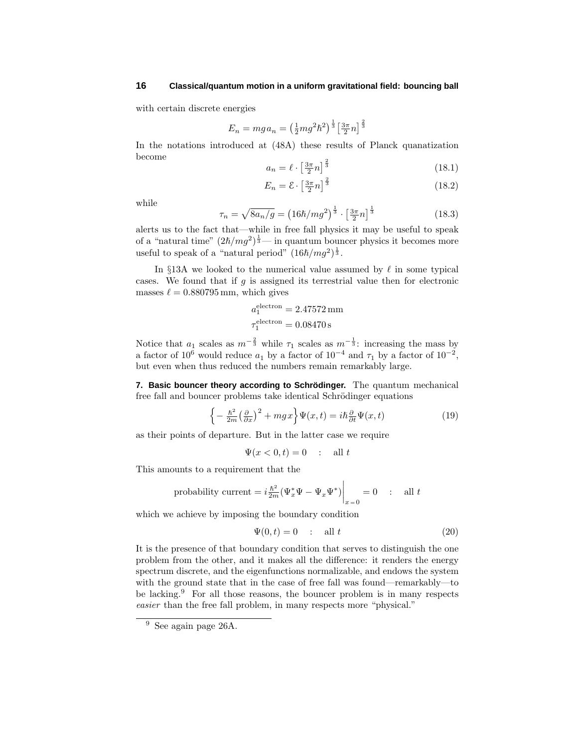with certain discrete energies

$$
E_n = mg a_n = \left(\frac{1}{2}mg^2\hbar^2\right)^{\frac{1}{3}} \left[\frac{3\pi}{2}n\right]^{\frac{2}{3}}
$$

In the notations introduced at (48A) these results of Planck quanatization become

$$
a_n = \ell \cdot \left[\frac{3\pi}{2}n\right]^{\frac{2}{3}}\tag{18.1}
$$

$$
E_n = \mathcal{E} \cdot \left[\frac{3\pi}{2}n\right]^{\frac{2}{3}}\tag{18.2}
$$

while

$$
\tau_n = \sqrt{8a_n/g} = \left(16\hbar/mg^2\right)^{\frac{1}{3}} \cdot \left[\frac{3\pi}{2}n\right]^{\frac{1}{3}}
$$
\n(18.3)

alerts us to the fact that—while in free fall physics it may be useful to speak of a "natural time"  $(2\hbar/mg^2)^{\frac{1}{3}}$  — in quantum bouncer physics it becomes more useful to speak of a "natural period"  $(16\hbar/mg^2)^{\frac{1}{3}}$ .

In §13A we looked to the numerical value assumed by  $\ell$  in some typical cases. We found that if *g* is assigned its terrestrial value then for electronic masses  $\ell = 0.880795$  mm, which gives

$$
a_1^{\text{electron}} = 2.47572 \,\text{mm}
$$

$$
\tau_1^{\text{electron}} = 0.08470 \,\text{s}
$$

Notice that  $a_1$  scales as  $m^{-\frac{2}{3}}$  while  $\tau_1$  scales as  $m^{-\frac{1}{3}}$ : increasing the mass by a factor of  $10^6$  would reduce  $a_1$  by a factor of  $10^{-4}$  and  $\tau_1$  by a factor of  $10^{-2}$ , but even when thus reduced the numbers remain remarkably large.

**7. Basic bouncer theory according to Schrodinger. ¨** The quantum mechanical free fall and bouncer problems take identical Schrödinger equations

$$
\left\{-\frac{\hbar^2}{2m}\left(\frac{\partial}{\partial x}\right)^2 + mgx\right\}\Psi(x,t) = i\hbar\frac{\partial}{\partial t}\Psi(x,t)
$$
\n(19)

as their points of departure. But in the latter case we require

$$
\Psi(x<0,t)=0 \quad : \quad \text{all } t
$$

This amounts to a requirement that the

probability current = 
$$
i \frac{\hbar^2}{2m} (\Psi_x^* \Psi - \Psi_x \Psi^*)\Big|_{x=0} = 0
$$
 : all t

which we achieve by imposing the boundary condition

$$
\Psi(0,t) = 0 \qquad \text{all } t \tag{20}
$$

It is the presence of that boundary condition that serves to distinguish the one problem from the other, and it makes all the difference: it renders the energy spectrum discrete, and the eigenfunctions normalizable, and endows the system with the ground state that in the case of free fall was found—remarkably—to be lacking.<sup>9</sup> For all those reasons, the bouncer problem is in many respects easier than the free fall problem, in many respects more "physical."

<sup>9</sup> See again page 26A.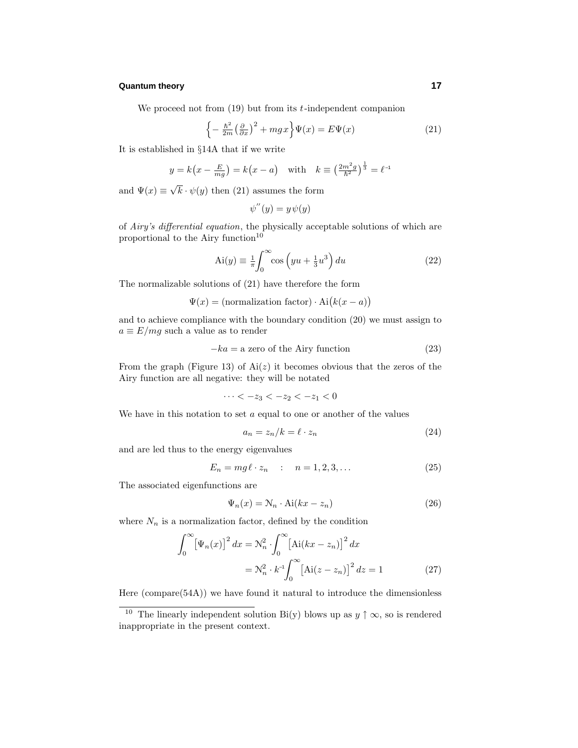We proceed not from (19) but from its *t*-independent companion

$$
\left\{-\frac{\hbar^2}{2m}\left(\frac{\partial}{\partial x}\right)^2 + mgx\right\}\Psi(x) = E\Psi(x) \tag{21}
$$

It is established in §14A that if we write

$$
y = k(x - \frac{E}{mg}) = k(x - a)
$$
 with  $k \equiv (\frac{2m^2 g}{\hbar^2})^{\frac{1}{3}} = \ell^{-1}$ 

and  $\Psi(x) \equiv \sqrt{k} \cdot \psi(y)$  then (21) assumes the form

$$
\psi''(y) = y\psi(y)
$$

of Airy's differential equation, the physically acceptable solutions of which are proportional to the Airy function $10$ 

$$
Ai(y) \equiv \frac{1}{\pi} \int_0^\infty \cos\left(yu + \frac{1}{3}u^3\right) du\tag{22}
$$

The normalizable solutions of (21) have therefore the form

 $\Psi(x) = (\text{normalization factor}) \cdot \text{Ai}(k(x-a))$ 

and to achieve compliance with the boundary condition (20) we must assign to  $a \equiv E/mg$  such a value as to render

$$
-ka = a \text{ zero of the Airy function} \tag{23}
$$

From the graph (Figure 13) of  $Ai(z)$  it becomes obvious that the zeros of the Airy function are all negative: they will be notated

 $\cdots < -z_3 < -z_2 < -z_1 < 0$ 

We have in this notation to set *a* equal to one or another of the values

$$
a_n = z_n/k = \ell \cdot z_n \tag{24}
$$

and are led thus to the energy eigenvalues

$$
E_n = mg\ell \cdot z_n \qquad : \quad n = 1, 2, 3, \dots \tag{25}
$$

The associated eigenfunctions are

$$
\Psi_n(x) = \mathcal{N}_n \cdot \text{Ai}(kx - z_n) \tag{26}
$$

where  $N_n$  is a normalization factor, defined by the condition

$$
\int_0^\infty \left[\Psi_n(x)\right]^2 dx = \mathcal{N}_n^2 \cdot \int_0^\infty \left[\text{Ai}(kx - z_n)\right]^2 dx
$$

$$
= \mathcal{N}_n^2 \cdot k^{-1} \int_0^\infty \left[\text{Ai}(z - z_n)\right]^2 dz = 1 \tag{27}
$$

Here (compare(54A)) we have found it natural to introduce the dimensionless

<sup>&</sup>lt;sup>10</sup> The linearly independent solution Bi(y) blows up as  $y \uparrow \infty$ , so is rendered inappropriate in the present context.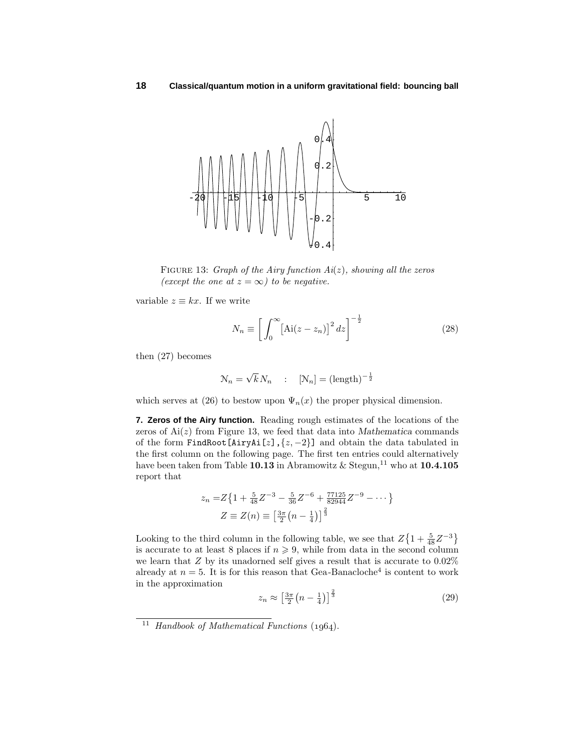

FIGURE 13: Graph of the Airy function  $Ai(z)$ , showing all the zeros (except the one at  $z = \infty$ ) to be negative.

variable  $z \equiv kx$ . If we write

$$
N_n \equiv \left[ \int_0^\infty \left[ \text{Ai}(z - z_n) \right]^2 dz \right]^{-\frac{1}{2}}
$$
\n(28)

then (27) becomes

$$
\mathcal{N}_n = \sqrt{k} N_n \qquad ; \quad [\mathcal{N}_n] = (\text{length})^{-\frac{1}{2}}
$$

which serves at (26) to bestow upon  $\Psi_n(x)$  the proper physical dimension.

**7. Zeros of the Airy function.** Reading rough estimates of the locations of the zeros of  $Ai(z)$  from Figure 13, we feed that data into *Mathematica* commands of the form FindRoot[AiryAi[*z*],{*z,* −2}] and obtain the data tabulated in the first column on the following page. The first ten entries could alternatively have been taken from Table **10.13** in Abramowitz & Stegun,<sup>11</sup> who at **10.4.105** report that

$$
z_n = Z\left\{1 + \frac{5}{48}Z^{-3} - \frac{5}{36}Z^{-6} + \frac{77125}{82944}Z^{-9} - \dots\right\}
$$

$$
Z \equiv Z(n) \equiv \left[\frac{3\pi}{2}\left(n - \frac{1}{4}\right)\right]^{\frac{2}{3}}
$$

Looking to the third column in the following table, we see that  $Z\left\{1+\frac{5}{48}Z^{-3}\right\}$ is accurate to at least 8 places if  $n \geq 9$ , while from data in the second column we learn that *Z* by its unadorned self gives a result that is accurate to 0*.*02% already at  $n = 5$ . It is for this reason that Gea-Banacloche<sup>4</sup> is content to work in the approximation

$$
z_n \approx \left[\frac{3\pi}{2}\left(n - \frac{1}{4}\right)\right]^{\frac{2}{3}}\tag{29}
$$

<sup>&</sup>lt;sup>11</sup> Handbook of Mathematical Functions  $(1964)$ .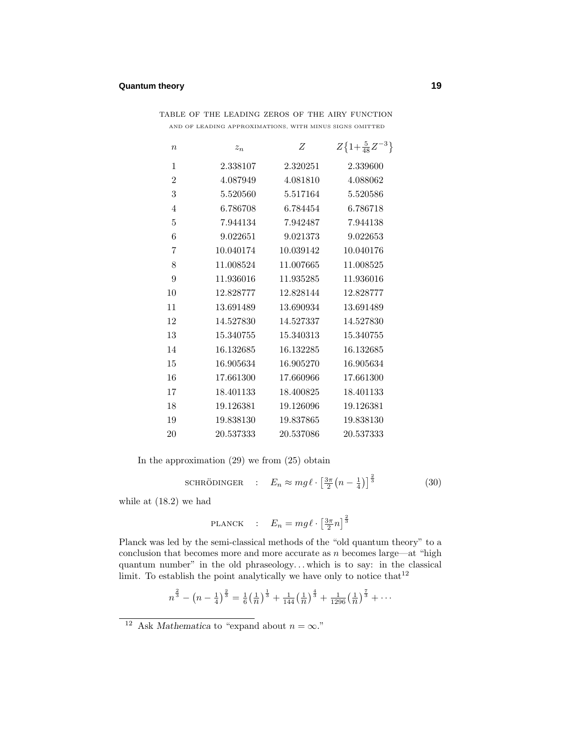| $\boldsymbol{n}$ | $z_n$     | Ζ         | $Z\left\{1+\frac{5}{48}Z^{-3}\right\}$ |
|------------------|-----------|-----------|----------------------------------------|
| 1                | 2.338107  | 2.320251  | 2.339600                               |
| $\overline{2}$   | 4.087949  | 4.081810  | 4.088062                               |
| 3                | 5.520560  | 5.517164  | 5.520586                               |
| $\overline{4}$   | 6.786708  | 6.784454  | 6.786718                               |
| 5                | 7.944134  | 7.942487  | 7.944138                               |
| 6                | 9.022651  | 9.021373  | 9.022653                               |
| 7                | 10.040174 | 10.039142 | 10.040176                              |
| 8                | 11.008524 | 11.007665 | 11.008525                              |
| 9                | 11.936016 | 11.935285 | 11.936016                              |
| 10               | 12.828777 | 12.828144 | 12.828777                              |
| 11               | 13.691489 | 13.690934 | 13.691489                              |
| 12               | 14.527830 | 14.527337 | 14.527830                              |
| 13               | 15.340755 | 15.340313 | 15.340755                              |
| 14               | 16.132685 | 16.132285 | 16.132685                              |
| 15               | 16.905634 | 16.905270 | 16.905634                              |
| 16               | 17.661300 | 17.660966 | 17.661300                              |
| 17               | 18.401133 | 18.400825 | 18.401133                              |
| 18               | 19.126381 | 19.126096 | 19.126381                              |
| 19               | 19.838130 | 19.837865 | 19.838130                              |
| 20               | 20.537333 | 20.537086 | 20.537333                              |

table of the leading zeros of the airy function AND OF LEADING APPROXIMATIONS, WITH MINUS SIGNS OMITTED

In the approximation (29) we from (25) obtain

SCHRÖDINGER : 
$$
E_n \approx mg\ell \cdot \left[\frac{3\pi}{2}\left(n - \frac{1}{4}\right)\right]^{\frac{2}{3}}
$$
 (30)

while at (18.2) we had

$$
\text{PLANCK} : E_n = mg\ell \cdot \left[\frac{3\pi}{2}n\right]^{\frac{2}{3}}
$$

Planck was led by the semi-classical methods of the "old quantum theory" to a conclusion that becomes more and more accurate as *n* becomes large—at "high quantum number" in the old phraseology*...* which is to say: in the classical limit. To establish the point analytically we have only to notice that  $12$ 

$$
n^{\frac{2}{3}} - \left(n - \frac{1}{4}\right)^{\frac{2}{3}} = \frac{1}{6} \left(\frac{1}{n}\right)^{\frac{1}{3}} + \frac{1}{144} \left(\frac{1}{n}\right)^{\frac{4}{3}} + \frac{1}{1296} \left(\frac{1}{n}\right)^{\frac{7}{3}} + \cdots
$$

<sup>&</sup>lt;sup>12</sup> Ask *Mathematica* to "expand about  $n = \infty$ ."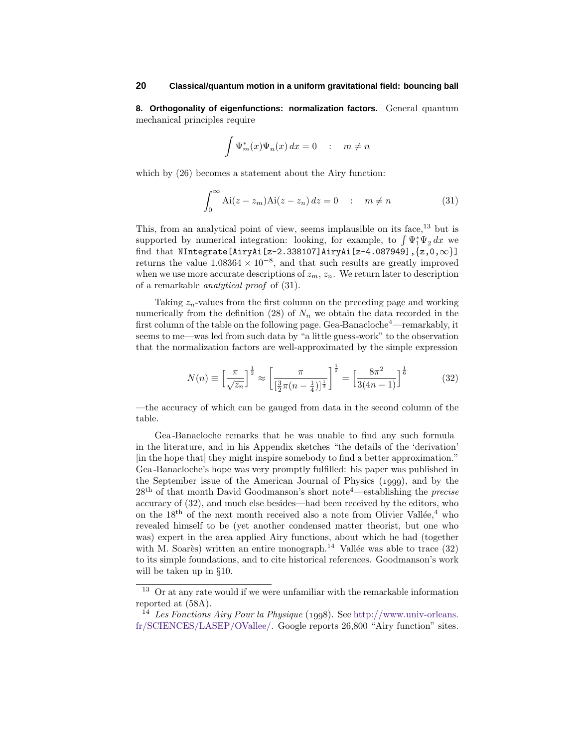**8. Orthogonality of eigenfunctions: normalization factors.** General quantum mechanical principles require

$$
\int \Psi_m^*(x)\Psi_n(x)\,dx = 0 \quad : \quad m \neq n
$$

which by  $(26)$  becomes a statement about the Airy function:

$$
\int_0^\infty Ai(z - z_m)Ai(z - z_n) dz = 0 \quad : \quad m \neq n \tag{31}
$$

This, from an analytical point of view, seems implausible on its face, $^{13}$  but is supported by numerical integration: looking, for example, to  $\int \Psi_1^* \Psi_2 dx$  we find that NIntegrate[AiryAi[z-2.338107]AiryAi[z-4.087949], $\{z,0,\infty\}$ ] returns the value  $1.08364 \times 10^{-8}$ , and that such results are greatly improved when we use more accurate descriptions of  $z_m$ ,  $z_n$ . We return later to description of a remarkable analytical proof of (31).

Taking *zn*-values from the first column on the preceding page and working numerically from the definition (28) of  $N_n$  we obtain the data recorded in the first column of the table on the following page. Gea-Banacloche<sup>4</sup>—remarkably, it seems to me—was led from such data by "a little guess-work" to the observation that the normalization factors are well-approximated by the simple expression

$$
N(n) \equiv \left[\frac{\pi}{\sqrt{z_n}}\right]^{\frac{1}{2}} \approx \left[\frac{\pi}{\left[\frac{3}{2}\pi(n-\frac{1}{4})\right]^{\frac{1}{3}}}\right]^{\frac{1}{2}} = \left[\frac{8\pi^2}{3(4n-1)}\right]^{\frac{1}{6}}
$$
(32)

—the accuracy of which can be gauged from data in the second column of the table.

Gea-Banacloche remarks that he was unable to find any such formula in the literature, and in his Appendix sketches "the details of the 'derivation' [in the hope that] they might inspire somebody to find a better approximation." Gea-Banacloche's hope was very promptly fulfilled: his paper was published in the September issue of the American Journal of Physics  $(1999)$ , and by the  $28<sup>th</sup>$  of that month David Goodmanson's short note<sup>4</sup>—establishing the *precise* accuracy of (32), and much else besides—had been received by the editors, who on the  $18<sup>th</sup>$  of the next month received also a note from Olivier Vallée,<sup>4</sup> who revealed himself to be (yet another condensed matter theorist, but one who was) expert in the area applied Airy functions, about which he had (together with M. Soarès) written an entire monograph.<sup>14</sup> Vallée was able to trace  $(32)$ to its simple foundations, and to cite historical references. Goodmanson's work will be taken up in §10.

<sup>&</sup>lt;sup>13</sup> Or at any rate would if we were unfamiliar with the remarkable information reported at (58A).

<sup>&</sup>lt;sup>14</sup> Les Fonctions Airy Pour la Physique (1998). See http://www.univ-orleans. fr/SCIENCES/LASEP/OVallee/. Google reports 26,800 "Airy function" sites.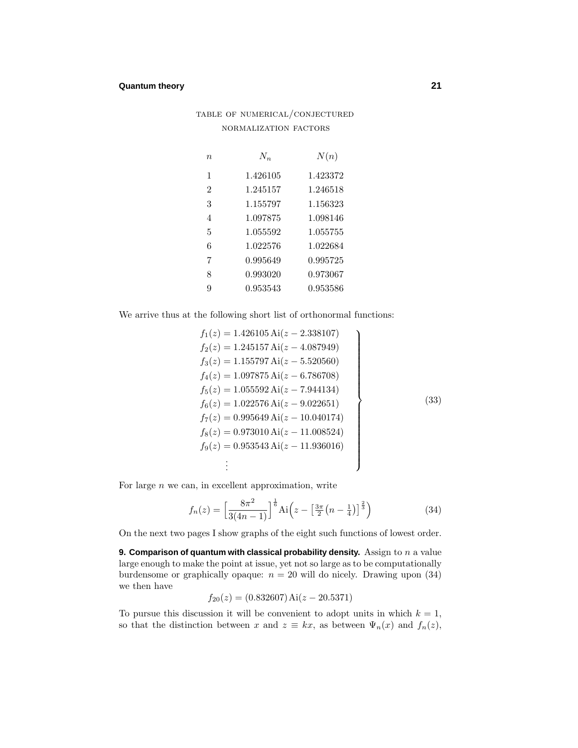# table of numerical/conjectured normalization factors

| $\eta$                   | $N_{n}$  | N(n)     |
|--------------------------|----------|----------|
| 1                        | 1.426105 | 1.423372 |
| $\overline{2}$           | 1.245157 | 1.246518 |
| 3                        | 1.155797 | 1.156323 |
| $\overline{\mathcal{A}}$ | 1.097875 | 1.098146 |
| 5                        | 1.055592 | 1.055755 |
| 6                        | 1.022576 | 1.022684 |
| 7                        | 0.995649 | 0.995725 |
| 8                        | 0.993020 | 0.973067 |
| 9                        | 0.953543 | 0.953586 |

We arrive thus at the following short list of orthonormal functions:

$$
f_1(z) = 1.426105 \text{ Ai}(z - 2.338107)
$$
  
\n
$$
f_2(z) = 1.245157 \text{ Ai}(z - 4.087949)
$$
  
\n
$$
f_3(z) = 1.155797 \text{ Ai}(z - 5.520560)
$$
  
\n
$$
f_4(z) = 1.097875 \text{ Ai}(z - 6.786708)
$$
  
\n
$$
f_5(z) = 1.055592 \text{ Ai}(z - 7.944134)
$$
  
\n
$$
f_6(z) = 1.022576 \text{ Ai}(z - 9.022651)
$$
  
\n
$$
f_7(z) = 0.995649 \text{ Ai}(z - 10.040174)
$$
  
\n
$$
f_8(z) = 0.973010 \text{ Ai}(z - 11.008524)
$$
  
\n
$$
f_9(z) = 0.953543 \text{ Ai}(z - 11.936016)
$$
  
\n
$$
\vdots
$$

For large *n* we can, in excellent approximation, write

$$
f_n(z) = \left[\frac{8\pi^2}{3(4n-1)}\right]^{\frac{1}{6}} \text{Ai}\left(z - \left[\frac{3\pi}{2}\left(n - \frac{1}{4}\right)\right]^{\frac{2}{3}}\right) \tag{34}
$$

On the next two pages I show graphs of the eight such functions of lowest order.

**9. Comparison of quantum with classical probability density.** Assign to *n* a value large enough to make the point at issue, yet not so large as to be computationally burdensome or graphically opaque:  $n = 20$  will do nicely. Drawing upon  $(34)$ we then have

$$
f_{20}(z) = (0.832607) \,\mathrm{Ai}(z - 20.5371)
$$

To pursue this discussion it will be convenient to adopt units in which  $k = 1$ , so that the distinction between *x* and  $z \equiv kx$ , as between  $\Psi_n(x)$  and  $f_n(z)$ ,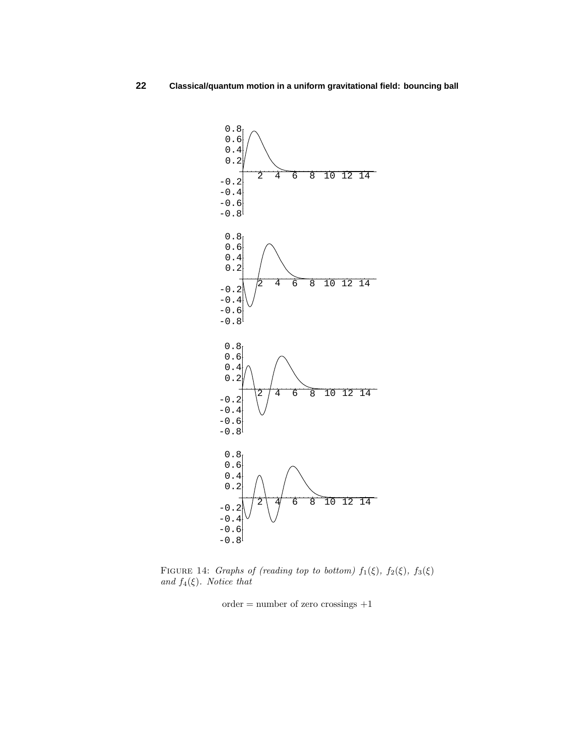

FIGURE 14: Graphs of (reading top to bottom)  $f_1(\xi)$ ,  $f_2(\xi)$ ,  $f_3(\xi)$ and  $f_4(\xi)$ . Notice that

 $order = number of zero crossings +1$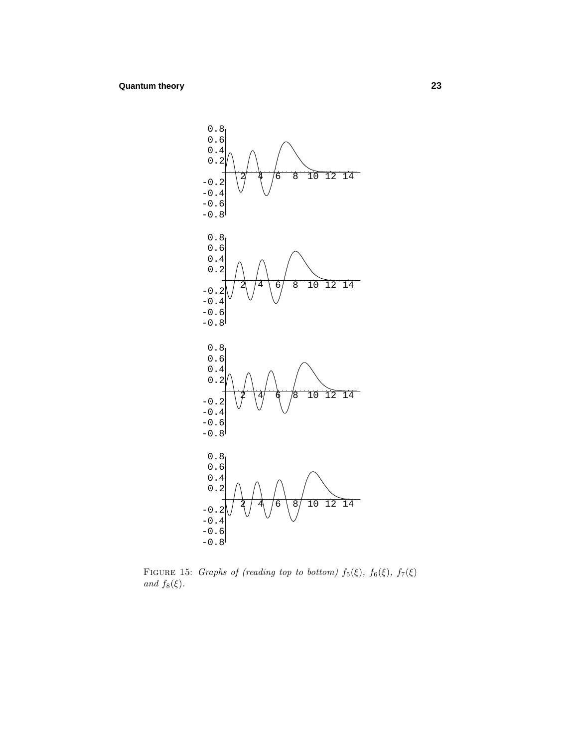

FIGURE 15: Graphs of (reading top to bottom)  $f_5(\xi)$ ,  $f_6(\xi)$ ,  $f_7(\xi)$ and  $f_8(\xi)$ .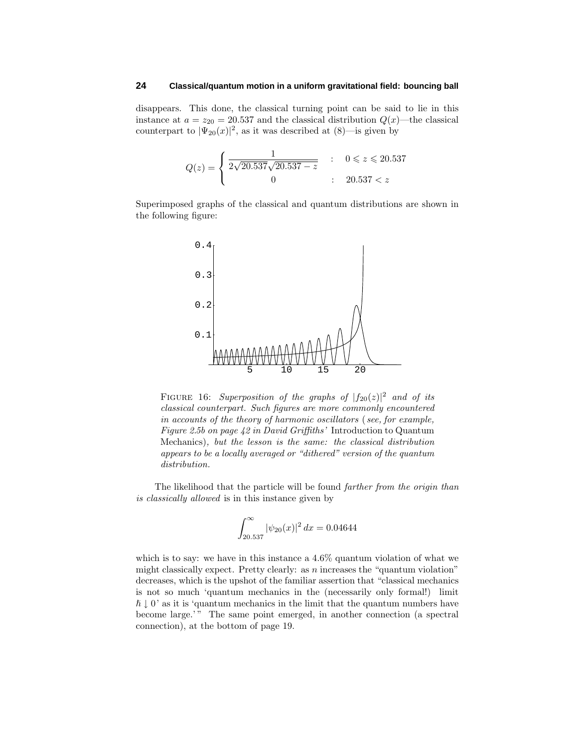disappears. This done, the classical turning point can be said to lie in this instance at  $a = z_{20} = 20.537$  and the classical distribution  $Q(x)$ —the classical counterpart to  $|\Psi_{20}(x)|^2$ , as it was described at  $(8)$ —is given by

$$
Q(z) = \begin{cases} \frac{1}{2\sqrt{20.537}\sqrt{20.537 - z}} & : & 0 \leq z \leq 20.537 \\ 0 & : & 20.537 < z \end{cases}
$$

Superimposed graphs of the classical and quantum distributions are shown in the following figure:



FIGURE 16: Superposition of the graphs of  $|f_{20}(z)|^2$  and of its classical counterpart. Such figures are more commonly encountered in accounts of the theory of harmonic oscillators ( see, for example, Figure 2.5b on page 42 in David Griffiths' Introduction to Quantum Mechanics), but the lesson is the same: the classical distribution appears to be a locally averaged or "dithered" version of the quantum distribution.

The likelihood that the particle will be found *farther from the origin than* is classically allowed is in this instance given by

$$
\int_{20.537}^{\infty} |\psi_{20}(x)|^2 dx = 0.04644
$$

which is to say: we have in this instance a 4*.*6% quantum violation of what we might classically expect. Pretty clearly: as *n* increases the "quantum violation" decreases, which is the upshot of the familiar assertion that "classical mechanics is not so much 'quantum mechanics in the (necessarily only formal!) limit  $\hbar \downarrow 0'$  as it is 'quantum mechanics in the limit that the quantum numbers have become large.'" The same point emerged, in another connection (a spectral connection), at the bottom of page 19.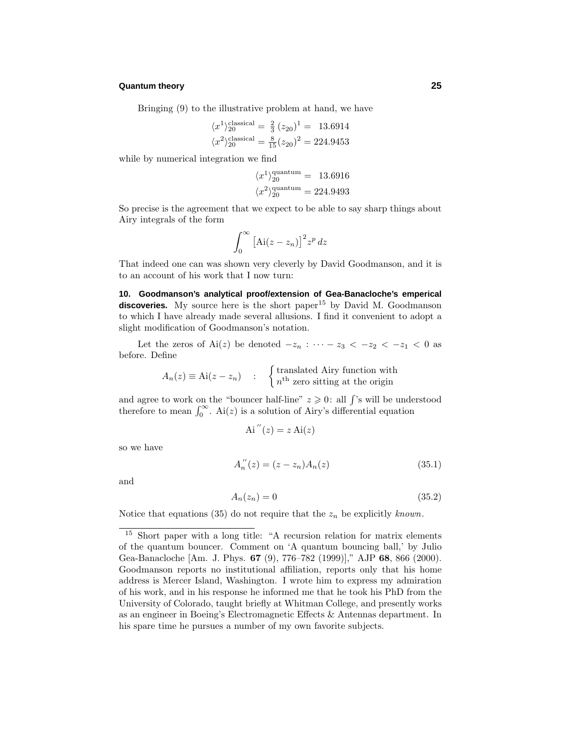Bringing (9) to the illustrative problem at hand, we have

$$
\langle x^1 \rangle_{20}^{\text{classical}} = \frac{2}{3} (z_{20})^1 = 13.6914
$$
  
 $\langle x^2 \rangle_{20}^{\text{classical}} = \frac{8}{15} (z_{20})^2 = 224.9453$ 

while by numerical integration we find

$$
\langle x^1 \rangle_{20}^{\text{quantum}} = 13.6916
$$

$$
\langle x^2 \rangle_{20}^{\text{quantum}} = 224.9493
$$

So precise is the agreement that we expect to be able to say sharp things about Airy integrals of the form

$$
\int_0^\infty \left[ \text{Ai}(z - z_n) \right]^2 z^p \, dz
$$

That indeed one can was shown very cleverly by David Goodmanson, and it is to an account of his work that I now turn:

**10. Goodmanson's analytical proof/extension of Gea-Banacloche's emperical** discoveries. My source here is the short paper<sup>15</sup> by David M. Goodmanson to which I have already made several allusions. I find it convenient to adopt a slight modification of Goodmanson's notation.

Let the zeros of Ai(*z*) be denoted  $-z_n : \cdots - z_3 < -z_2 < -z_1 < 0$  as before. Define

$$
A_n(z) \equiv \text{Ai}(z - z_n) \quad : \quad \begin{cases} \text{translated Airy function with} \\ n^{\text{th}} \text{ zero sitting at the origin} \end{cases}
$$

and agree to work on the "bouncer half-line"  $z \geqslant 0$ : all  $\int$ 's will be understood therefore to mean  $\int_0^\infty$ . Ai(*z*) is a solution of Airy's differential equation

$$
Ai''(z) = z Ai(z)
$$

so we have

$$
A_n''(z) = (z - z_n)A_n(z)
$$
\n(35.1)

and

$$
A_n(z_n) = 0 \tag{35.2}
$$

Notice that equations (35) do not require that the  $z_n$  be explicitly known.

<sup>15</sup> Short paper with a long title: "A recursion relation for matrix elements of the quantum bouncer. Comment on 'A quantum bouncing ball,' by Julio Gea-Banacloche [Am. J. Phys. **67** (9), 776–782 (1999)]," AJP **68**, 866 (2000). Goodmanson reports no institutional affiliation, reports only that his home address is Mercer Island, Washington. I wrote him to express my admiration of his work, and in his response he informed me that he took his PhD from the University of Colorado, taught briefly at Whitman College, and presently works as an engineer in Boeing's Electromagnetic Effects & Antennas department. In his spare time he pursues a number of my own favorite subjects.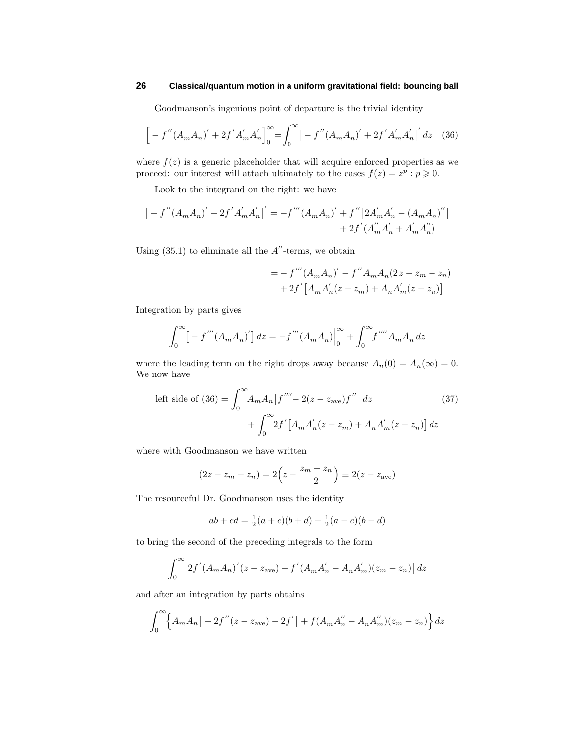Goodmanson's ingenious point of departure is the trivial identity

$$
\[ -f''(A_m A_n)' + 2f' A'_m A'_n \]_0^{\infty} = \int_0^{\infty} \left[ -f''(A_m A_n)' + 2f' A'_m A'_n \right]' dz \quad (36)
$$

where  $f(z)$  is a generic placeholder that will acquire enforced properties as we proceed: our interest will attach ultimately to the cases  $f(z) = z^p : p \ge 0$ .

Look to the integrand on the right: we have

$$
\left[ -f''(A_mA_n)' + 2f'A'_mA'_n \right]' = -f'''(A_mA_n)' + f''\left[ 2A'_mA'_n - (A_mA_n)'' \right] + 2f'(A''_mA'_n + A'_mA''_n)
$$

Using  $(35.1)$  to eliminate all the  $A''$ -terms, we obtain

$$
= - f'''(A_m A_n)' - f'' A_m A_n (2z - z_m - z_n)
$$
  
+ 2f' [A\_m A'\_n(z - z\_m) + A\_n A'\_m(z - z\_n)]

Integration by parts gives

$$
\int_0^{\infty} \left[ -f'''(A_m A_n)' \right] dz = -f'''(A_m A_n) \Big|_0^{\infty} + \int_0^{\infty} f'''' A_m A_n dz
$$

where the leading term on the right drops away because  $A_n(0) = A_n(\infty) = 0$ . We now have

left side of (36) = 
$$
\int_0^\infty A_m A_n [f'''' - 2(z - z_{ave}) f''] dz
$$
 (37)  
+ 
$$
\int_0^\infty 2f' [A_m A'_n(z - z_m) + A_n A'_m(z - z_n)] dz
$$

where with Goodmanson we have written

$$
(2z - z_m - z_n) = 2\left(z - \frac{z_m + z_n}{2}\right) \equiv 2(z - z_{ave})
$$

The resourceful Dr. Goodmanson uses the identity

$$
ab + cd = \frac{1}{2}(a+c)(b+d) + \frac{1}{2}(a-c)(b-d)
$$

to bring the second of the preceding integrals to the form

$$
\int_0^{\infty} \left[ 2f'(A_m A_n)'(z - z_{ave}) - f'(A_m A'_n - A_n A'_m)(z_m - z_n) \right] dz
$$

and after an integration by parts obtains

$$
\int_0^{\infty} \left\{ A_m A_n \left[ -2f''(z - z_{ave}) - 2f' \right] + f(A_m A_n'' - A_n A_m'')(z_m - z_n) \right\} dz
$$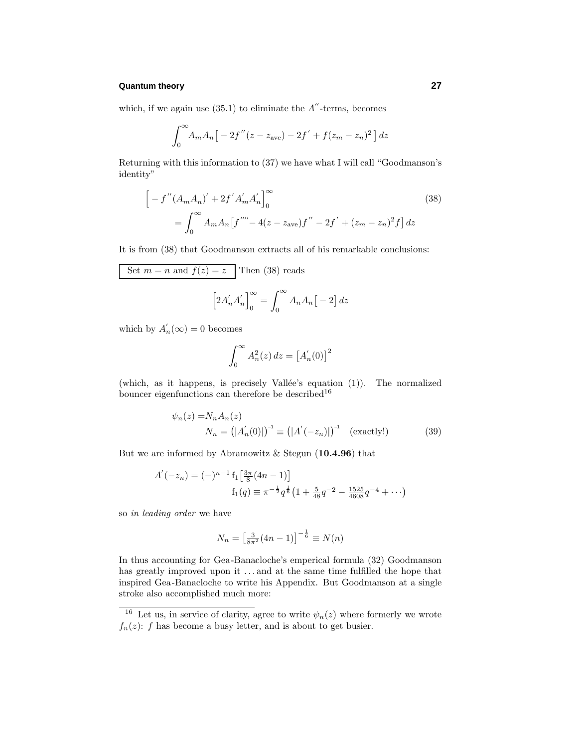which, if we again use  $(35.1)$  to eliminate the  $A''$ -terms, becomes

$$
\int_0^{\infty} A_m A_n \big[ -2f''(z - z_{ave}) - 2f' + f(z_m - z_n)^2 \big] dz
$$

Returning with this information to (37) we have what I will call "Goodmanson's identity"

$$
\[ -f''(A_mA_n)' + 2f'A'_m A'_n \]_0^{\infty}
$$
\n
$$
= \int_0^{\infty} A_m A_n [f'''' - 4(z - z_{ave})f'' - 2f' + (z_m - z_n)^2 f] dz
$$
\n(38)

It is from (38) that Goodmanson extracts all of his remarkable conclusions:

Set 
$$
m = n
$$
 and  $f(z) = z$  Then (38) reads  
\n
$$
\left[2A'_{n}A'_{n}\right]_{0}^{\infty} = \int_{0}^{\infty} A_{n}A_{n}[-2] dz
$$

which by  $A'_n(\infty) = 0$  becomes

$$
\int_0^\infty A_n^2(z) dz = \left[ A_n'(0) \right]^2
$$

(which, as it happens, is precisely Vallée's equation  $(1)$ ). The normalized bouncer eigenfunctions can therefore be described<sup>16</sup>

$$
\psi_n(z) = N_n A_n(z)
$$
  
\n
$$
N_n = (|A'_n(0)|)^{-1} \equiv (|A'(-z_n)|)^{-1} \quad \text{(exactly!)} \tag{39}
$$

But we are informed by Abramowitz & Stegun (**10.4.96**) that

$$
A'(-z_n) = (-)^{n-1} f_1 \left[ \frac{3\pi}{8} (4n - 1) \right]
$$
  

$$
f_1(q) \equiv \pi^{-\frac{1}{2}} q^{\frac{1}{6}} \left( 1 + \frac{5}{48} q^{-2} - \frac{1525}{4608} q^{-4} + \cdots \right)
$$

so in leading order we have

$$
N_n = \left[\frac{3}{8\pi^2}(4n - 1)\right]^{-\frac{1}{6}} \equiv N(n)
$$

In thus accounting for Gea-Banacloche's emperical formula (32) Goodmanson has greatly improved upon it *...* and at the same time fulfilled the hope that inspired Gea-Banacloche to write his Appendix. But Goodmanson at a single stroke also accomplished much more:

<sup>&</sup>lt;sup>16</sup> Let us, in service of clarity, agree to write  $\psi_n(z)$  where formerly we wrote  $f_n(z)$ : *f* has become a busy letter, and is about to get busier.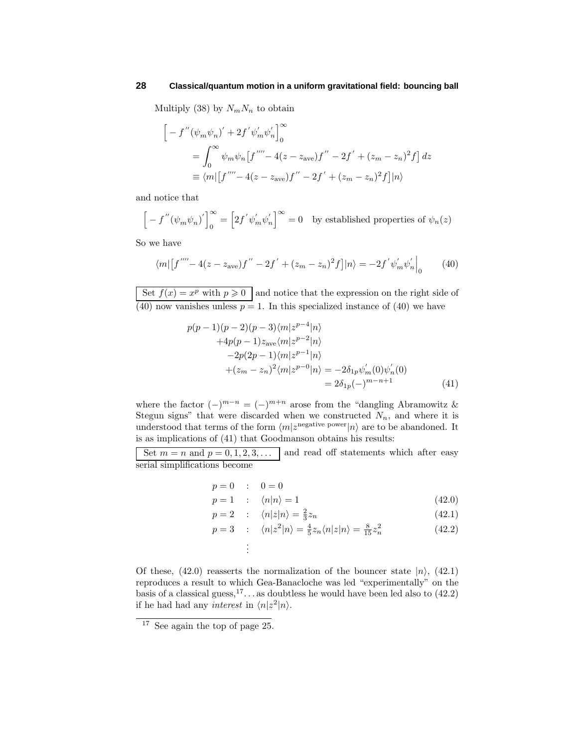Multiply (38) by  $N_mN_n$  to obtain

$$
\begin{aligned}\n&\left[-f''(\psi_m \psi_n)' + 2f' \psi'_m \psi'_n\right]_0^{\infty} \\
&= \int_0^{\infty} \psi_m \psi_n \left[f''' - 4(z - z_{\text{ave}})f'' - 2f' + (z_m - z_n)^2 f\right] dz \\
&= \langle m | \left[f''' - 4(z - z_{\text{ave}})f'' - 2f' + (z_m - z_n)^2 f\right] |n \rangle\n\end{aligned}
$$

and notice that

 $\left[-f''(\psi_m\psi_n)'\right]_0^\infty = \left[2f'\psi_m'\psi_n'\right]^\infty = 0$  by established properties of  $\psi_n(z)$ 

So we have

$$
\langle m| [f'''' - 4(z - z_{ave})f'' - 2f' + (z_m - z_n)^2 f] |n\rangle = -2f' \psi'_m \psi'_n \Big|_0 \tag{40}
$$

Set  $f(x) = x^p$  with  $p \ge 0$  and notice that the expression on the right side of  $(40)$  now vanishes unless  $p = 1$ . In this specialized instance of  $(40)$  we have

$$
p(p-1)(p-2)(p-3)\langle m|z^{p-4}|n\rangle
$$
  
+4p(p-1)z<sub>ave</sub> $\langle m|z^{p-2}|n\rangle$   
-2p(2p-1) $\langle m|z^{p-1}|n\rangle$   
+ $(z_m - z_n)^2 \langle m|z^{p-0}|n\rangle = -2\delta_{1p}\psi'_m(0)\psi'_n(0)$   
=  $2\delta_{1p}(-)^{m-n+1}$  (41)

where the factor  $(-)^{m-n} = (-)^{m+n}$  arose from the "dangling Abramowitz & Stegun signs" that were discarded when we constructed  $N_n$ , and where it is understood that terms of the form  $\langle m | z^{\text{negative power}} | n \rangle$  are to be abandoned. It is as implications of (41) that Goodmanson obtains his results:

Set  $m = n$  and  $p = 0, 1, 2, 3, \ldots$  and read off statements which after easy serial simplifications become

$$
p=0\quad:\quad 0=0
$$

$$
p = 1 \qquad ; \quad \langle n | n \rangle = 1 \tag{42.0}
$$

$$
p = 2 \qquad ; \qquad \langle n|z|n \rangle = \frac{2}{3}z_n \tag{42.1}
$$

$$
p = 3 \quad : \quad \langle n|z^2|n\rangle = \frac{4}{5}z_n \langle n|z|n\rangle = \frac{8}{15}z_n^2 \tag{42.2}
$$

. . .

Of these,  $(42.0)$  reasserts the normalization of the bouncer state  $|n\rangle$ ,  $(42.1)$ reproduces a result to which Gea-Banacloche was led "experimentally" on the basis of a classical guess,  $17 \ldots$  as doubtless he would have been led also to (42.2) if he had had any *interest* in  $\langle n|z^2|n\rangle$ .

<sup>&</sup>lt;sup>17</sup> See again the top of page 25.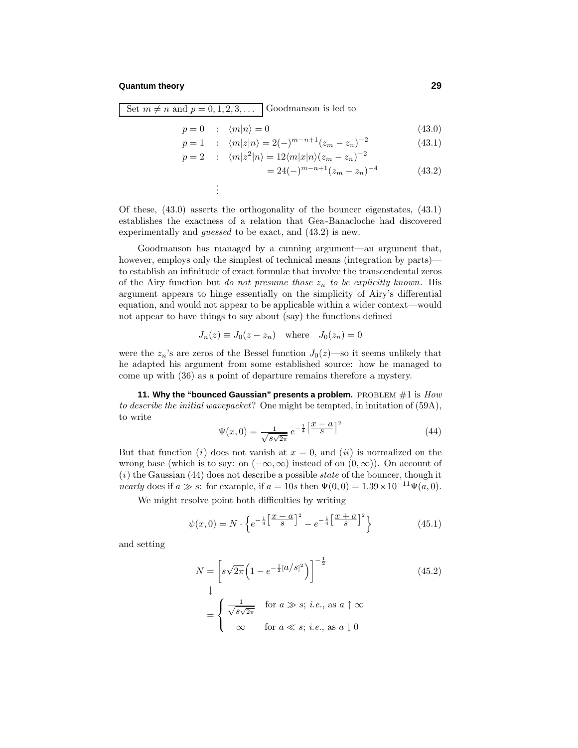Set  $m \neq n$  and  $p = 0, 1, 2, 3, \ldots$  Goodmanson is led to

. .

$$
p = 0 \qquad ; \quad \langle m | n \rangle = 0 \tag{43.0}
$$

$$
p = 1 \qquad ; \quad \langle m|z|n\rangle = 2(-)^{m-n+1}(z_m - z_n)^{-2} \tag{43.1}
$$

$$
p = 2 : \langle m|z^2|n\rangle = 12\langle m|x|n\rangle(z_m - z_n)^{-2}
$$
  
= 24(-)<sup>m-n+1</sup>(z\_m - z\_n)<sup>-4</sup> (43.2)

Of these, (43.0) asserts the orthogonality of the bouncer eigenstates, (43.1) establishes the exactness of a relation that Gea-Banacloche had discovered experimentally and *guessed* to be exact, and  $(43.2)$  is new.

Goodmanson has managed by a cunning argument—an argument that, however, employs only the simplest of technical means (integration by parts) to establish an infinitude of exact formulæ that involve the transcendental zeros of the Airy function but do not presume those  $z_n$  to be explicitly known. His argument appears to hinge essentially on the simplicity of Airy's differential equation, and would not appear to be applicable within a wider context—would not appear to have things to say about (say) the functions defined

$$
J_n(z) \equiv J_0(z - z_n) \quad \text{where} \quad J_0(z_n) = 0
$$

were the  $z_n$ 's are zeros of the Bessel function  $J_0(z)$ —so it seems unlikely that he adapted his argument from some established source: how he managed to come up with (36) as a point of departure remains therefore a mystery.

**11. Why the "bounced Gaussian" presents a problem.** PROBLEM  $#1$  is  $How$ to describe the initial wavepacket? One might be tempted, in imitation of (59A), to write

$$
\Psi(x,0) = \frac{1}{\sqrt{s\sqrt{2\pi}}}e^{-\frac{1}{4}\left[\frac{x-a}{s}\right]^2}
$$
\n(44)

But that function (i) does not vanish at  $x = 0$ , and (ii) is normalized on the wrong base (which is to say: on  $(-\infty, \infty)$  instead of on  $(0, \infty)$ ). On account of  $(i)$  the Gaussian  $(44)$  does not describe a possible *state* of the bouncer, though it *nearly* does if  $a \gg s$ : for example, if  $a = 10s$  then  $\Psi(0,0) = 1.39 \times 10^{-11} \Psi(a,0)$ .

We might resolve point both difficulties by writing

$$
\psi(x,0) = N \cdot \left\{ e^{-\frac{1}{4} \left[ \frac{x-a}{s} \right]^2} - e^{-\frac{1}{4} \left[ \frac{x+a}{s} \right]^2} \right\}
$$
(45.1)

and setting

$$
N = \left[s\sqrt{2\pi}\left(1 - e^{-\frac{1}{2}[a/s]^2}\right)\right]^{-\frac{1}{2}}
$$
(45.2)  

$$
\downarrow
$$
  

$$
= \begin{cases} \frac{1}{\sqrt{s\sqrt{2\pi}}} & \text{for } a \gg s; i.e., \text{ as } a \uparrow \infty \\ \infty & \text{for } a \ll s; i.e., \text{ as } a \downarrow 0 \end{cases}
$$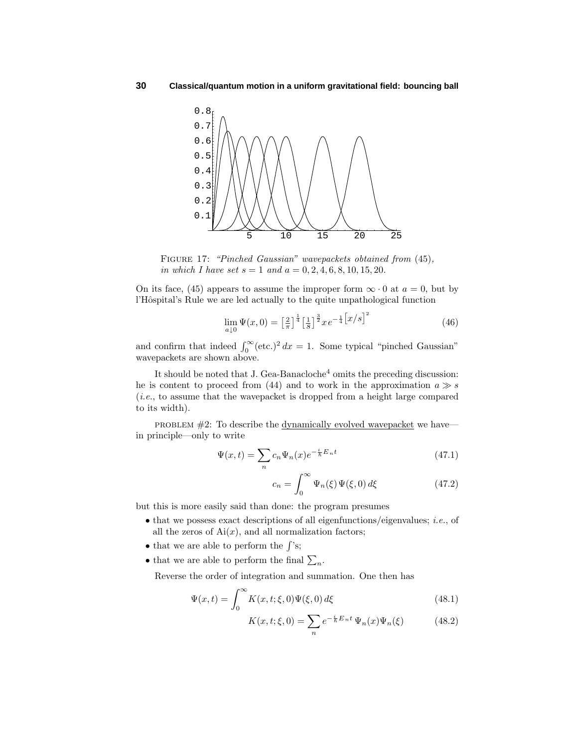

FIGURE 17: "Pinched Gaussian" wavepackets obtained from (45), in which I have set  $s = 1$  and  $a = 0, 2, 4, 6, 8, 10, 15, 20$ .

On its face, (45) appears to assume the improper form  $\infty \cdot 0$  at  $a = 0$ , but by l'Hôspital's Rule we are led actually to the quite unpathological function

$$
\lim_{a \downarrow 0} \Psi(x, 0) = \left[\frac{2}{\pi}\right]^{\frac{1}{4}} \left[\frac{1}{S}\right]^{\frac{3}{2}} x e^{-\frac{1}{4} \left[x/s\right]^2} \tag{46}
$$

and confirm that indeed  $\int_0^\infty (\text{etc.})^2 dx = 1$ . Some typical "pinched Gaussian" wavepackets are shown above.

It should be noted that J. Gea-Banacloche<sup>4</sup> omits the preceding discussion: he is content to proceed from (44) and to work in the approximation  $a \gg s$ (i.e., to assume that the wavepacket is dropped from a height large compared to its width).

problem #2: To describe the <u>dynamically evolved wavepacket</u> we have in principle—only to write

$$
\Psi(x,t) = \sum_{n} c_n \Psi_n(x) e^{-\frac{i}{\hbar} E_n t} \tag{47.1}
$$

$$
c_n = \int_0^\infty \Psi_n(\xi) \Psi(\xi, 0) d\xi \tag{47.2}
$$

but this is more easily said than done: the program presumes

- that we possess exact descriptions of all eigenfunctions/eigenvalues; *i.e.*, of all the zeros of  $Ai(x)$ , and all normalization factors;
- that we are able to perform the  $\int$ 's;
- that we are able to perform the final  $\sum_n$ .

Reverse the order of integration and summation. One then has

$$
\Psi(x,t) = \int_0^\infty K(x,t;\xi,0)\Psi(\xi,0)\,d\xi\tag{48.1}
$$

$$
K(x, t; \xi, 0) = \sum_{n} e^{-\frac{i}{\hbar} E_n t} \Psi_n(x) \Psi_n(\xi)
$$
 (48.2)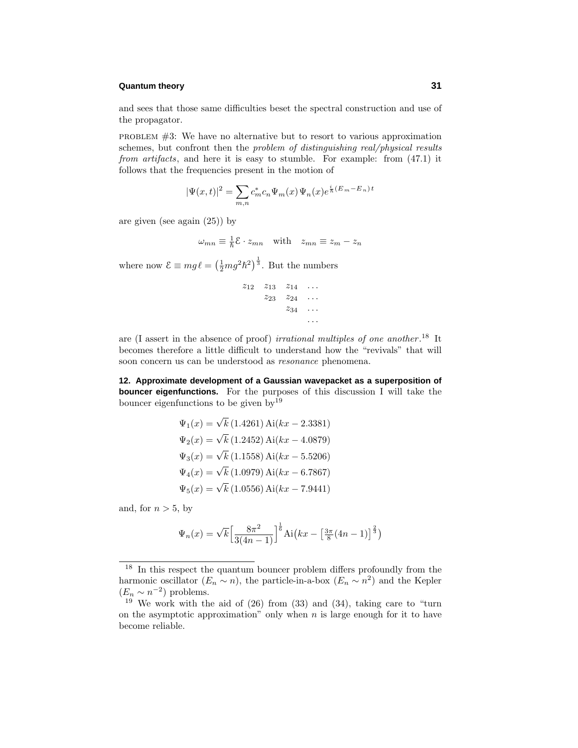and sees that those same difficulties beset the spectral construction and use of the propagator.

problem #3: We have no alternative but to resort to various approximation schemes, but confront then the problem of distinguishing real/physical results from artifacts, and here it is easy to stumble. For example: from  $(47.1)$  it follows that the frequencies present in the motion of

$$
|\Psi(x,t)|^2=\sum_{m,n}c_m^*c_n\Psi_m(x)\,\Psi_n(x)e^{\frac{i}{\hbar}(E_m-E_n)\,t}
$$

are given (see again (25)) by

$$
\omega_{mn} \equiv \frac{1}{\hbar} \mathcal{E} \cdot z_{mn} \quad \text{with} \quad z_{mn} \equiv z_m - z_n
$$

where now  $\mathcal{E} \equiv mg\ell = \left(\frac{1}{2}mg^2\hbar^2\right)^{\frac{1}{3}}$ . But the numbers

$$
\begin{array}{cccc}\nz_{12} & z_{13} & z_{14} & \dots \\
 & z_{23} & z_{24} & \dots \\
 & & z_{34} & \dots \\
 & & & \dots\n\end{array}
$$

are (I assert in the absence of proof) *irrational multiples of one another*.<sup>18</sup> It becomes therefore a little difficult to understand howthe "revivals" that will soon concern us can be understood as resonance phenomena.

**12. Approximate development of a Gaussian wavepacket as a superposition of bouncer eigenfunctions.** For the purposes of this discussion I will take the bouncer eigenfunctions to be given  $bv^{19}$ 

$$
\Psi_1(x) = \sqrt{k} (1.4261) \text{ Ai}(kx - 2.3381)
$$
  
\n
$$
\Psi_2(x) = \sqrt{k} (1.2452) \text{ Ai}(kx - 4.0879)
$$
  
\n
$$
\Psi_3(x) = \sqrt{k} (1.1558) \text{ Ai}(kx - 5.5206)
$$
  
\n
$$
\Psi_4(x) = \sqrt{k} (1.0979) \text{ Ai}(kx - 6.7867)
$$
  
\n
$$
\Psi_5(x) = \sqrt{k} (1.0556) \text{ Ai}(kx - 7.9441)
$$

and, for  $n > 5$ , by

$$
\Psi_n(x) = \sqrt{k} \left[ \frac{8\pi^2}{3(4n-1)} \right]^{\frac{1}{6}} \text{Ai}\left( kx - \left[ \frac{3\pi}{8} (4n-1) \right]^{\frac{2}{3}} \right)
$$

<sup>&</sup>lt;sup>18</sup> In this respect the quantum bouncer problem differs profoundly from the harmonic oscillator  $(E_n \sim n)$ , the particle-in-a-box  $(E_n \sim n^2)$  and the Kepler  $(E_n \sim n^{-2})$  problems.

 $19$  We work with the aid of (26) from (33) and (34), taking care to "turn on the asymptotic approximation" only when *n* is large enough for it to have become reliable.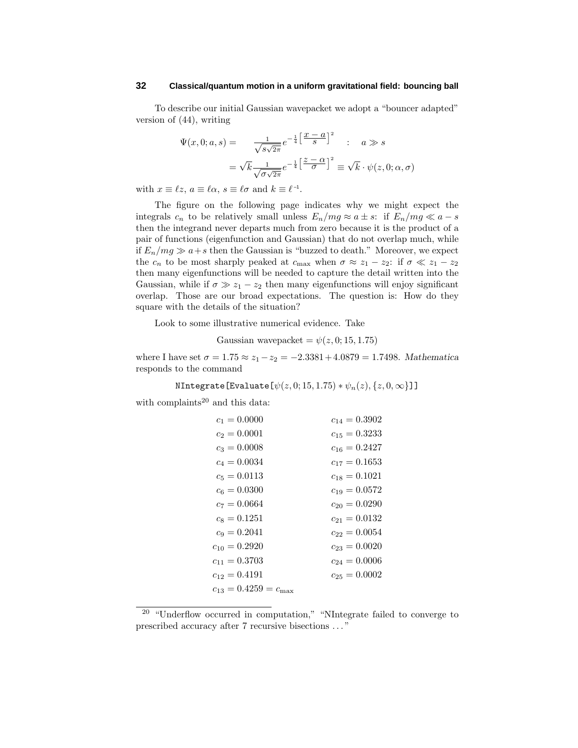To describe our initial Gaussian wavepacket we adopt a "bouncer adapted" version of (44), writing

$$
\Psi(x,0;a,s) = \frac{1}{\sqrt{s\sqrt{2\pi}}}e^{-\frac{1}{4}\left[\frac{x-a}{s}\right]^2} \quad : \quad a \gg s
$$
\n
$$
= \sqrt{k}\frac{1}{\sqrt{\sigma\sqrt{2\pi}}}e^{-\frac{1}{4}\left[\frac{z-a}{\sigma}\right]^2} \equiv \sqrt{k}\cdot\psi(z,0;\alpha,\sigma)
$$

with  $x \equiv \ell z$ ,  $a \equiv \ell \alpha$ ,  $s \equiv \ell \sigma$  and  $k \equiv \ell^{-1}$ .

The figure on the following page indicates why we might expect the integrals  $c_n$  to be relatively small unless  $E_n/mg \approx a \pm s$ : if  $E_n/mg \ll a - s$ then the integrand never departs much from zero because it is the product of a pair of functions (eigenfunction and Gaussian) that do not overlap much, while if  $E_n/mg \gg a+s$  then the Gaussian is "buzzed to death." Moreover, we expect the  $c_n$  to be most sharply peaked at  $c_{\text{max}}$  when  $\sigma \approx z_1 - z_2$ : if  $\sigma \ll z_1 - z_2$ then many eigenfunctions will be needed to capture the detail written into the Gaussian, while if  $\sigma \gg z_1 - z_2$  then many eigenfunctions will enjoy significant overlap. Those are our broad expectations. The question is: Howdo they square with the details of the situation?

Look to some illustrative numerical evidence. Take

Gaussian wavepacket =  $\psi(z, 0; 15, 1.75)$ 

where I have set  $\sigma = 1.75 \approx z_1 - z_2 = -2.3381 + 4.0879 = 1.7498$ . *Mathematica* responds to the command

# $N$ Integrate[Evaluate[ $\psi(z, 0; 15, 1.75) * \psi_n(z), \{z, 0, \infty\}$ ]]

with complaints<sup>20</sup> and this data:

| $c_1 = 0.0000$                     | $c_{14} = 0.3902$ |
|------------------------------------|-------------------|
| $c_2 = 0.0001$                     | $c_{15} = 0.3233$ |
| $c_3 = 0.0008$                     | $c_{16} = 0.2427$ |
| $c_4 = 0.0034$                     | $c_{17} = 0.1653$ |
| $c_5 = 0.0113$                     | $c_{18} = 0.1021$ |
| $c_6 = 0.0300$                     | $c_{19} = 0.0572$ |
| $c_7 = 0.0664$                     | $c_{20} = 0.0290$ |
| $c_8 = 0.1251$                     | $c_{21} = 0.0132$ |
| $c_9 = 0.2041$                     | $c_{22} = 0.0054$ |
| $c_{10} = 0.2920$                  | $c_{23} = 0.0020$ |
| $c_{11} = 0.3703$                  | $c_{24} = 0.0006$ |
| $c_{12} = 0.4191$                  | $c_{25} = 0.0002$ |
| $c_{13} = 0.4259 = c_{\text{max}}$ |                   |
|                                    |                   |

 $20$  "Underflow occurred in computation," "NIntegrate failed to converge to prescribed accuracy after 7 recursive bisections *...* "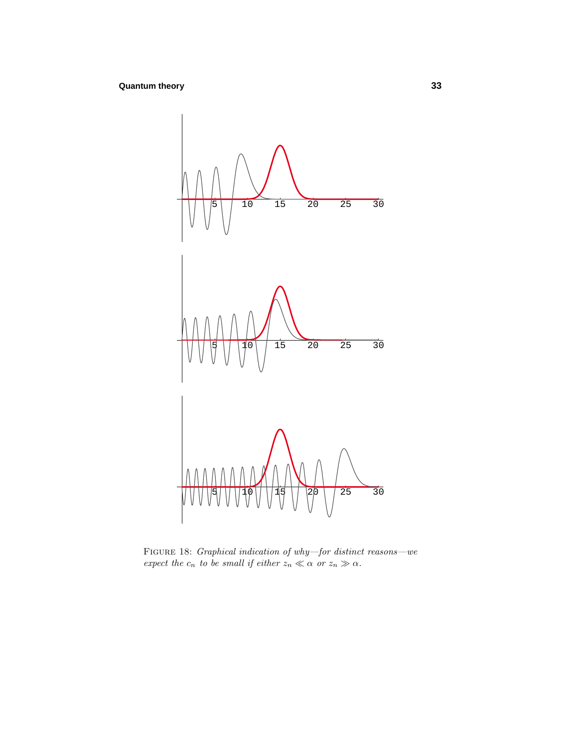

FIGURE 18: *Graphical indication of why—for distinct reasons—we* expect the  $c_n$  to be small if either  $z_n \ll \alpha$  or  $z_n \gg \alpha$ .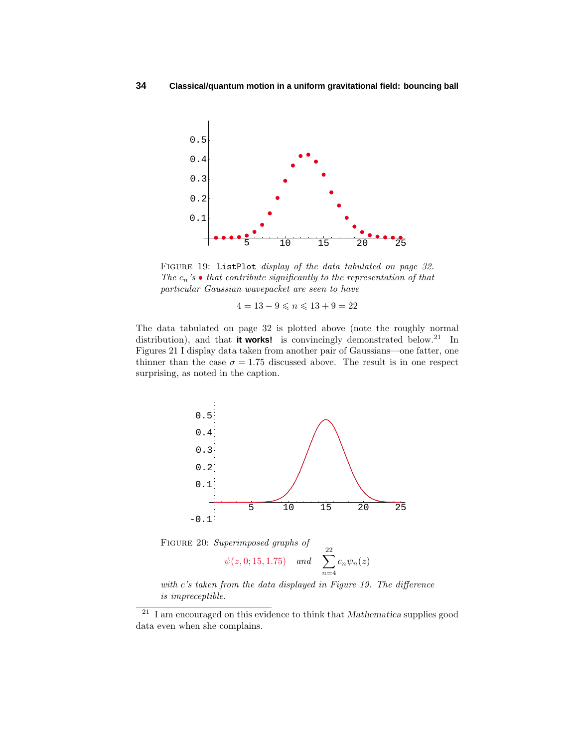

FIGURE 19: ListPlot display of the data tabulated on page 32. The  $c_n$ 's  $\bullet$  that contribute significantly to the representation of that particular Gaussian wavepacket are seen to have

 $4 = 13 - 9 \leqslant n \leqslant 13 + 9 = 22$ 

The data tabulated on page 32 is plotted above (note the roughly normal distribution), and that **it works!** is convincingly demonstrated below.<sup>21</sup> In Figures 21 I display data taken from another pair of Gaussians—one fatter, one thinner than the case  $\sigma = 1.75$  discussed above. The result is in one respect surprising, as noted in the caption.



Figure 20: Superimposed graphs of

$$
\psi(z, 0; 15, 1.75)
$$
 and  $\sum_{n=4}^{22} c_n \psi_n(z)$ 

with *c*'s taken from the data displayed in Figure 19. The difference is impreceptible.

<sup>21</sup> I am encouraged on this evidence to think that *Mathematica* supplies good data even when she complains.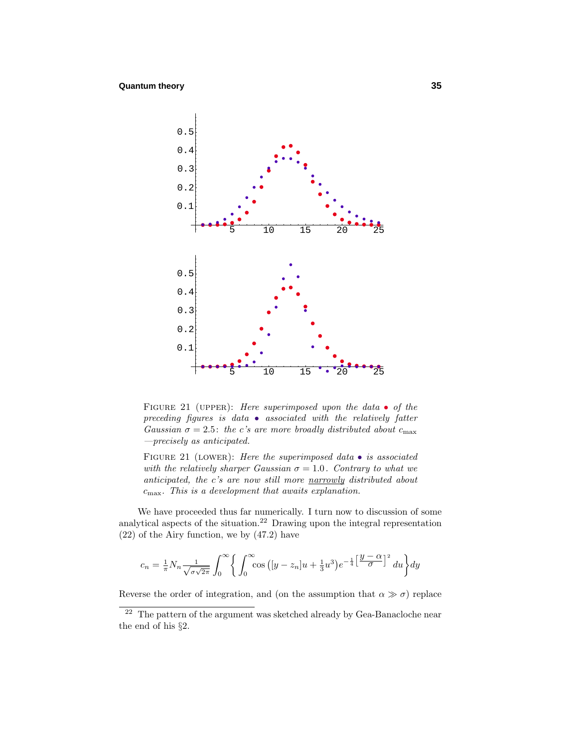

FIGURE 21 (UPPER): Here superimposed upon the data  $\bullet$  of the preceding figures is data  $\bullet$  associated with the relatively fatter Gaussian  $\sigma = 2.5$ : the *c*'s are more broadly distributed about  $c_{\text{max}}$ —precisely as anticipated.

FIGURE 21 (LOWER): Here the superimposed data  $\bullet$  is associated with the relatively sharper Gaussian  $\sigma = 1.0$ . Contrary to what we anticipated, the *c*'s are now still more narrowly distributed about *c*max.This is a development that awaits explanation.

We have proceeded thus far numerically. I turn now to discussion of some analytical aspects of the situation.<sup>22</sup> Drawing upon the integral representation (22) of the Airy function, we by (47.2) have

$$
c_n = \frac{1}{\pi} N_n \frac{1}{\sqrt{\sigma \sqrt{2\pi}}} \int_0^\infty \left\{ \int_0^\infty \cos\left( [y - z_n]u + \frac{1}{3}u^3 \right) e^{-\frac{1}{4} \left[ \frac{y - \alpha}{\sigma} \right]^2} du \right\} dy
$$

Reverse the order of integration, and (on the assumption that  $\alpha \gg \sigma$ ) replace

<sup>&</sup>lt;sup>22</sup> The pattern of the argument was sketched already by Gea-Banacloche near the end of his §2.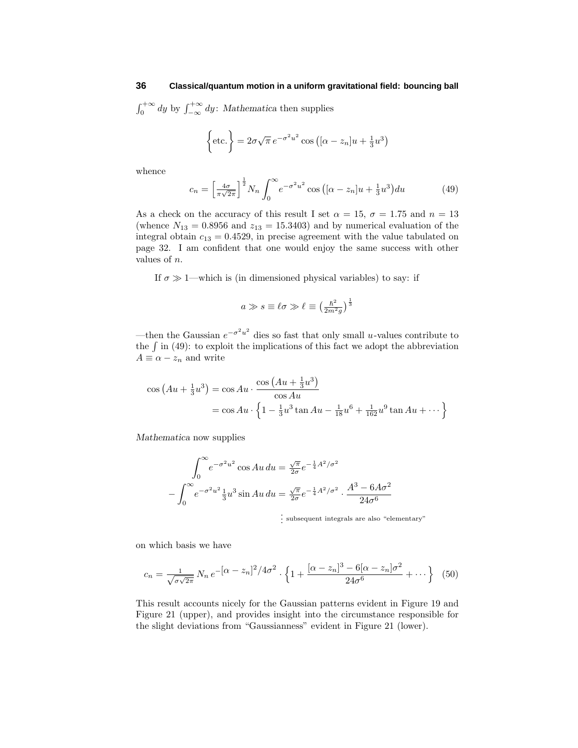$\int_0^{+\infty} dy$  by  $\int_{-\infty}^{+\infty} dy$ : *Mathematica* then supplies

$$
\left\{\text{etc.}\right\} = 2\sigma\sqrt{\pi} e^{-\sigma^2 u^2} \cos\left([\alpha - z_n]u + \frac{1}{3}u^3\right)
$$

whence

$$
c_n = \left[\frac{4\sigma}{\pi\sqrt{2\pi}}\right]^{\frac{1}{2}} N_n \int_0^\infty e^{-\sigma^2 u^2} \cos\left([\alpha - z_n]u + \frac{1}{3}u^3\right) du\tag{49}
$$

As a check on the accuracy of this result I set  $\alpha = 15$ ,  $\sigma = 1.75$  and  $n = 13$ (whence  $N_{13} = 0.8956$  and  $z_{13} = 15.3403$ ) and by numerical evaluation of the integral obtain  $c_{13} = 0.4529$ , in precise agreement with the value tabulated on page 32. I am confident that one would enjoy the same success with other values of *n*.

If  $\sigma \gg 1$ —which is (in dimensioned physical variables) to say: if

$$
a\gg s\equiv \ell\sigma\gg \ell\equiv\left(\tfrac{\hbar^2}{2m^2g}\right)^\frac{1}{3}
$$

—then the Gaussian *e*−*σ*2*u*<sup>2</sup> dies so fast that only small *u*-values contribute to the  $\int$  in (49): to exploit the implications of this fact we adopt the abbreviation  $A \equiv \alpha - z_n$  and write

$$
\cos (Au + \frac{1}{3}u^3) = \cos Au \cdot \frac{\cos (Au + \frac{1}{3}u^3)}{\cos Au}
$$
  
=  $\cos Au \cdot \left\{ 1 - \frac{1}{3}u^3 \tan Au - \frac{1}{18}u^6 + \frac{1}{162}u^9 \tan Au + \cdots \right\}$ 

*Mathematica* nowsupplies

$$
\int_0^\infty e^{-\sigma^2 u^2} \cos Au \, du = \frac{\sqrt{\pi}}{2\sigma} e^{-\frac{1}{4}A^2/\sigma^2}
$$

$$
-\int_0^\infty e^{-\sigma^2 u^2} \frac{1}{3} u^3 \sin Au \, du = \frac{\sqrt{\pi}}{2\sigma} e^{-\frac{1}{4}A^2/\sigma^2} \cdot \frac{A^3 - 6A\sigma^2}{24\sigma^6}
$$

. . . subsequent integrals are also "elementary"

on which basis we have

$$
c_n = \frac{1}{\sqrt{\sigma\sqrt{2\pi}}} N_n e^{-\left[\alpha - z_n\right]^2/4\sigma^2} \cdot \left\{ 1 + \frac{\left[\alpha - z_n\right]^3 - 6\left[\alpha - z_n\right]\sigma^2}{24\sigma^6} + \dots \right\} \tag{50}
$$

This result accounts nicely for the Gaussian patterns evident in Figure 19 and Figure 21 (upper), and provides insight into the circumstance responsible for the slight deviations from "Gaussianness" evident in Figure 21 (lower).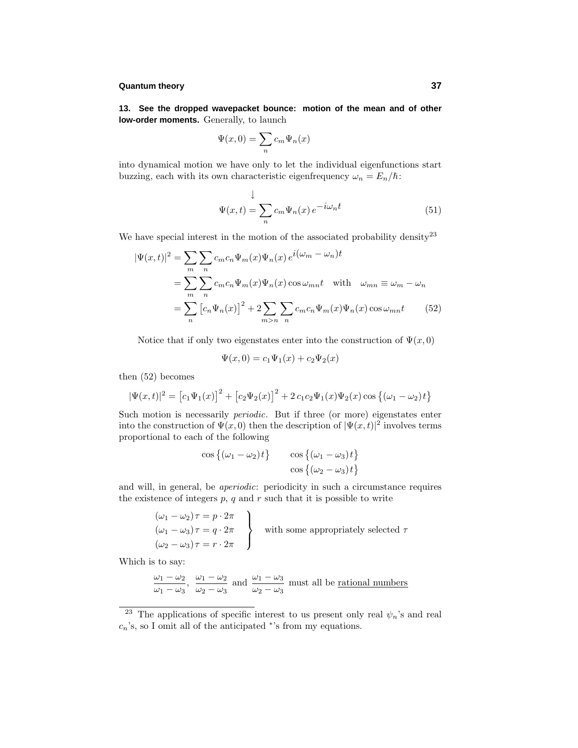**13. See the dropped wavepacket bounce: motion of the mean and of other low-order moments.** Generally, to launch

$$
\Psi(x,0) = \sum_{n} c_m \Psi_n(x)
$$

into dynamical motion we have only to let the individual eigenfunctions start buzzing, each with its own characteristic eigenfrequency  $\omega_n = E_n/\hbar$ :

$$
\Psi(x,t) = \sum_{n} c_m \Psi_n(x) e^{-i\omega_n t}
$$
\n(51)

We have special interest in the motion of the associated probability density<sup>23</sup>

$$
|\Psi(x,t)|^2 = \sum_{m} \sum_{n} c_m c_n \Psi_m(x) \Psi_n(x) e^{i(\omega_m - \omega_n)t}
$$
  
= 
$$
\sum_{m} \sum_{n} c_m c_n \Psi_m(x) \Psi_n(x) \cos \omega_{mn} t \text{ with } \omega_{mn} \equiv \omega_m - \omega_n
$$
  
= 
$$
\sum_{n} [c_n \Psi_n(x)]^2 + 2 \sum_{m>n} \sum_{n} c_m c_n \Psi_m(x) \Psi_n(x) \cos \omega_{mn} t
$$
 (52)

Notice that if only two eigenstates enter into the construction of  $\Psi(x,0)$ 

$$
\Psi(x,0) = c_1 \Psi_1(x) + c_2 \Psi_2(x)
$$

then (52) becomes

$$
|\Psi(x,t)|^2 = [c_1\Psi_1(x)]^2 + [c_2\Psi_2(x)]^2 + 2c_1c_2\Psi_1(x)\Psi_2(x)\cos\{(\omega_1 - \omega_2)t\}
$$

Such motion is necessarily periodic. But if three (or more) eigenstates enter into the construction of  $\Psi(x,0)$  then the description of  $|\Psi(x,t)|^2$  involves terms proportional to each of the following

$$
\cos\left\{(\omega_1 - \omega_2)t\right\} \qquad \cos\left\{(\omega_1 - \omega_3)t\right\}
$$

$$
\cos\left\{(\omega_2 - \omega_3)t\right\}
$$

and will, in general, be aperiodic: periodicity in such a circumstance requires the existence of integers  $p$ ,  $q$  and  $r$  such that it is possible to write

$$
(\omega_1 - \omega_2)\tau = p \cdot 2\pi
$$
  
\n
$$
(\omega_1 - \omega_3)\tau = q \cdot 2\pi
$$
  
\n
$$
(\omega_2 - \omega_3)\tau = r \cdot 2\pi
$$
 with some appropriately selected  $\tau$ 

Which is to say:

$$
\frac{\omega_1 - \omega_2}{\omega_1 - \omega_3}
$$
,  $\frac{\omega_1 - \omega_2}{\omega_2 - \omega_3}$  and  $\frac{\omega_1 - \omega_3}{\omega_2 - \omega_3}$  must all be rational numbers

<sup>&</sup>lt;sup>23</sup> The applications of specific interest to us present only real  $\psi_n$ 's and real *cn*'s, so I omit all of the anticipated <sup>∗</sup>'s from my equations.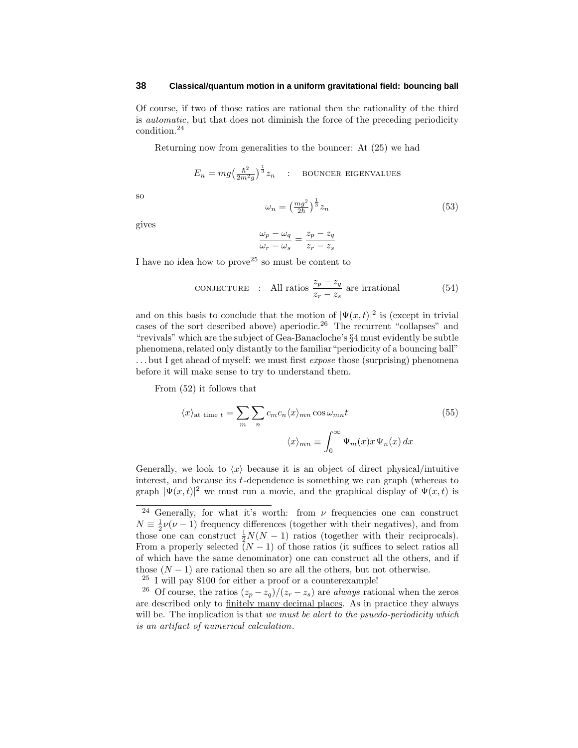Of course, if two of those ratios are rational then the rationality of the third is automatic, but that does not diminish the force of the preceding periodicity condition.<sup>24</sup>

Returning now from generalities to the bouncer: At (25) we had

$$
E_n = mg \left(\frac{\hbar^2}{2m^2 g}\right)^{\frac{1}{3}} z_n
$$
: BOUNCER EIGENVALUES

so

$$
\omega_n = \left(\frac{mg^2}{2\hbar}\right)^{\frac{1}{3}} z_n \tag{53}
$$

gives

$$
\frac{\omega_p-\omega_q}{\omega_r-\omega_s}=\frac{z_p-z_q}{z_r-z_s}
$$

I have no idea how to prove<sup>25</sup> so must be content to

**CONJECTURE** : All ratios 
$$
\frac{z_p - z_q}{z_r - z_s}
$$
 are irrational (54)

and on this basis to conclude that the motion of  $|\Psi(x,t)|^2$  is (except in trivial cases of the sort described above) aperiodic.<sup>26</sup> The recurrent "collapses" and "revivals" which are the subject of Gea-Banacloche's §4 must evidently be subtle phenomena, related only distantly to the familiar "periodicity of a bouncing ball" ... but I get ahead of myself: we must first *expose* those (surprising) phenomena before it will make sense to try to understand them.

From (52) it follows that

$$
\langle x \rangle_{\text{at time } t} = \sum_{m} \sum_{n} c_{m} c_{n} \langle x \rangle_{mn} \cos \omega_{mn} t
$$
\n
$$
\langle x \rangle_{mn} \equiv \int_{0}^{\infty} \Psi_{m}(x) x \Psi_{n}(x) dx
$$
\n(55)

Generally, we look to  $\langle x \rangle$  because it is an object of direct physical/intuitive interest, and because its *t*-dependence is something we can graph (whereas to graph  $|\Psi(x,t)|^2$  we must run a movie, and the graphical display of  $\Psi(x,t)$  is

<sup>24</sup> Generally, for what it's worth: from *ν* frequencies one can construct  $N \equiv \frac{1}{2}\nu(\nu - 1)$  frequency differences (together with their negatives), and from those one can construct  $\frac{1}{2}N(N-1)$  ratios (together with their reciprocals). From a properly selected  $(N-1)$  of those ratios (it suffices to select ratios all of which have the same denominator) one can construct all the others, and if those  $(N-1)$  are rational then so are all the others, but not otherwise.

<sup>25</sup> I will pay \$100 for either a proof or a counterexample!

<sup>&</sup>lt;sup>26</sup> Of course, the ratios  $(z_p - z_q)/(z_r - z_s)$  are *always* rational when the zeros are described only to finitely many decimal places. As in practice they always will be. The implication is that we must be alert to the psuedo-periodicity which is an artifact of numerical calculation.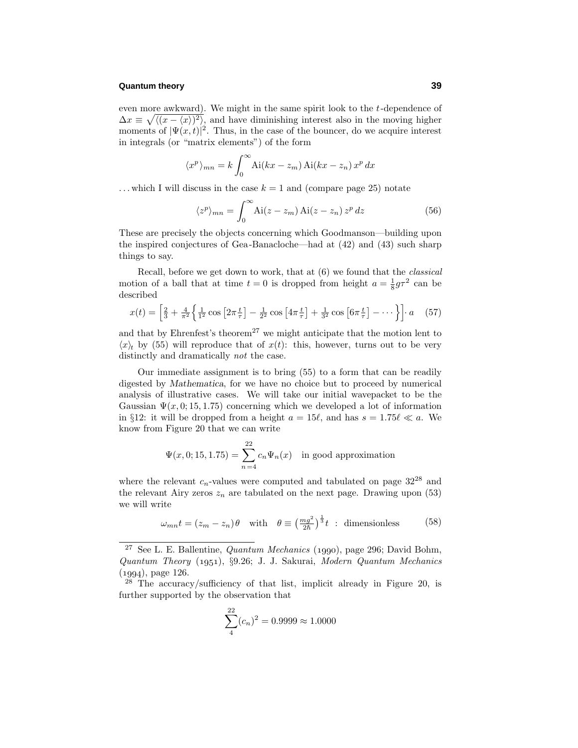even more awkward). We might in the same spirit look to the *t*-dependence of  $\Delta x \equiv \sqrt{\langle (x - \langle x \rangle)^2 \rangle}$ , and have diminishing interest also in the moving higher moments of  $|\Psi(x,t)|^2$ . Thus, in the case of the bouncer, do we acquire interest in integrals (or "matrix elements") of the form

$$
\langle x^p \rangle_{mn} = k \int_0^\infty \text{Ai}(kx - z_m) \text{Ai}(kx - z_n) x^p dx
$$

 $\dots$  which I will discuss in the case  $k = 1$  and (compare page 25) notate

$$
\langle z^p \rangle_{mn} = \int_0^\infty \text{Ai}(z - z_m) \, \text{Ai}(z - z_n) \, z^p \, dz \tag{56}
$$

These are precisely the objects concerning which Goodmanson—building upon the inspired conjectures of Gea-Banacloche—had at (42) and (43) such sharp things to say.

Recall, before we get down to work, that at (6) we found that the classical motion of a ball that at time  $t = 0$  is dropped from height  $a = \frac{1}{8}g\tau^2$  can be described

$$
x(t) = \left[\frac{2}{3} + \frac{4}{\pi^2} \left\{ \frac{1}{1^2} \cos \left[ 2\pi \frac{t}{\tau} \right] - \frac{1}{2^2} \cos \left[ 4\pi \frac{t}{\tau} \right] + \frac{1}{3^2} \cos \left[ 6\pi \frac{t}{\tau} \right] - \dotsb \right\} \right] \cdot a \quad (57)
$$

and that by Ehrenfest's theorem<sup>27</sup> we might anticipate that the motion lent to  $\langle x \rangle_t$  by (55) will reproduce that of  $x(t)$ : this, however, turns out to be very distinctly and dramatically not the case.

Our immediate assignment is to bring (55) to a form that can be readily digested by *Mathematica*, for we have no choice but to proceed by numerical analysis of illustrative cases. We will take our initial wavepacket to be the Gaussian  $\Psi(x, 0; 15, 1.75)$  concerning which we developed a lot of information in §12: it will be dropped from a height  $a = 15\ell$ , and has  $s = 1.75\ell \ll a$ . We know from Figure 20 that we can write

$$
\Psi(x,0;15,1.75) = \sum_{n=4}^{22} c_n \Psi_n(x) \text{ in good approximation}
$$

where the relevant  $c_n$ -values were computed and tabulated on page  $32^{28}$  and the relevant Airy zeros  $z_n$  are tabulated on the next page. Drawing upon  $(53)$ we will write

$$
\omega_{mn}t = (z_m - z_n)\theta \quad \text{with} \quad \theta \equiv \left(\frac{mg^2}{2\hbar}\right)^{\frac{1}{3}}t \; : \; \text{dimensionless} \tag{58}
$$

$$
\sum_{4}^{22} (c_n)^2 = 0.9999 \approx 1.0000
$$

<sup>&</sup>lt;sup>27</sup> See L. E. Ballentine, *Quantum Mechanics* (1990), page 296; David Bohm, Quantum Theory (1951), §9.26; J. J. Sakurai, Modern Quantum Mechanics  $(1994)$ , page 126.

<sup>&</sup>lt;sup>28</sup> The accuracy/sufficiency of that list, implicit already in Figure 20, is further supported by the observation that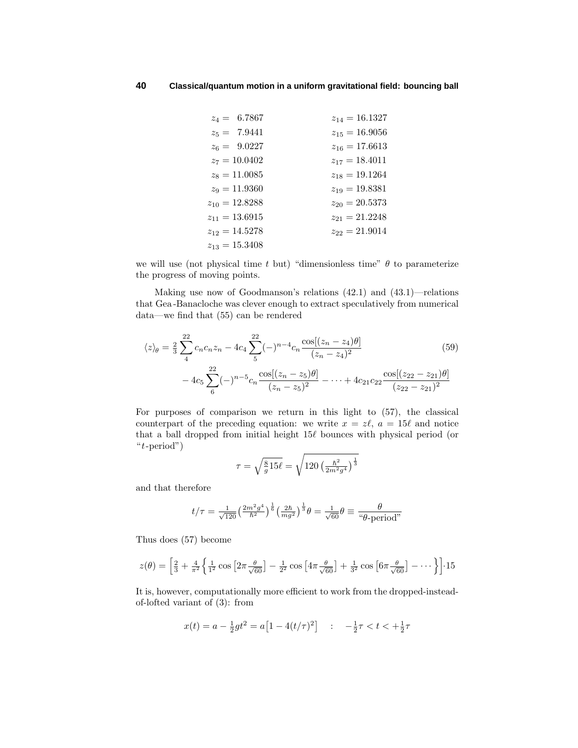| $z_4 = 6.7867$     | $z_{14} = 16.1327$ |
|--------------------|--------------------|
| $z_5 = 7.9441$     | $z_{15} = 16.9056$ |
| $z_6 = 9.0227$     | $z_{16} = 17.6613$ |
| $z_7 = 10.0402$    | $z_{17} = 18.4011$ |
| $z_8 = 11.0085$    | $z_{18} = 19.1264$ |
| $z_9 = 11.9360$    | $z_{19} = 19.8381$ |
| $z_{10} = 12.8288$ | $z_{20} = 20.5373$ |
| $z_{11} = 13.6915$ | $z_{21} = 21.2248$ |
| $z_{12} = 14.5278$ | $z_{22} = 21.9014$ |
| $z_{13} = 15.3408$ |                    |

we will use (not physical time  $t$  but) "dimensionless time"  $\theta$  to parameterize the progress of moving points.

Making use now of Goodmanson's relations (42.1) and (43.1)—relations that Gea-Banacloche was clever enough to extract speculatively from numerical data—we find that (55) can be rendered

$$
\langle z \rangle_{\theta} = \frac{2}{3} \sum_{4}^{22} c_n c_n z_n - 4c_4 \sum_{5}^{22} (-)^{n-4} c_n \frac{\cos[(z_n - z_4)\theta]}{(z_n - z_4)^2} - 4c_5 \sum_{6}^{22} (-)^{n-5} c_n \frac{\cos[(z_n - z_5)\theta]}{(z_n - z_5)^2} - \dots + 4c_{21} c_{22} \frac{\cos[(z_{22} - z_{21})\theta]}{(z_{22} - z_{21})^2}
$$
(59)

For purposes of comparison we return in this light to (57), the classical counterpart of the preceding equation: we write  $x = z\ell$ ,  $a = 15\ell$  and notice that a ball dropped from initial height  $15\ell$  bounces with physical period (or "*t*-period")

$$
\tau = \sqrt{\frac{8}{g}15\ell} = \sqrt{120 \left(\frac{\hbar^2}{2m^2 g^4}\right)^{\frac{1}{3}}}
$$

and that therefore

$$
t/\tau = \frac{1}{\sqrt{120}} \left(\frac{2m^2 g^4}{\hbar^2}\right)^{\frac{1}{6}} \left(\frac{2\hbar}{mg^2}\right)^{\frac{1}{3}} \theta = \frac{1}{\sqrt{60}} \theta \equiv \frac{\theta}{\text{``$\theta$-period''}}
$$

Thus does (57) become

$$
z(\theta) = \left[\frac{2}{3} + \frac{4}{\pi^2} \left\{ \frac{1}{1^2} \cos \left[ 2\pi \frac{\theta}{\sqrt{60}} \right] - \frac{1}{2^2} \cos \left[ 4\pi \frac{\theta}{\sqrt{60}} \right] + \frac{1}{3^2} \cos \left[ 6\pi \frac{\theta}{\sqrt{60}} \right] - \dots \right\} \right] \cdot 15
$$

It is, however, computationally more efficient to work from the dropped-insteadof-lofted variant of (3): from

$$
x(t) = a - \frac{1}{2}gt^2 = a\left[1 - 4(t/\tau)^2\right] \quad : \quad -\frac{1}{2}\tau < t < +\frac{1}{2}\tau
$$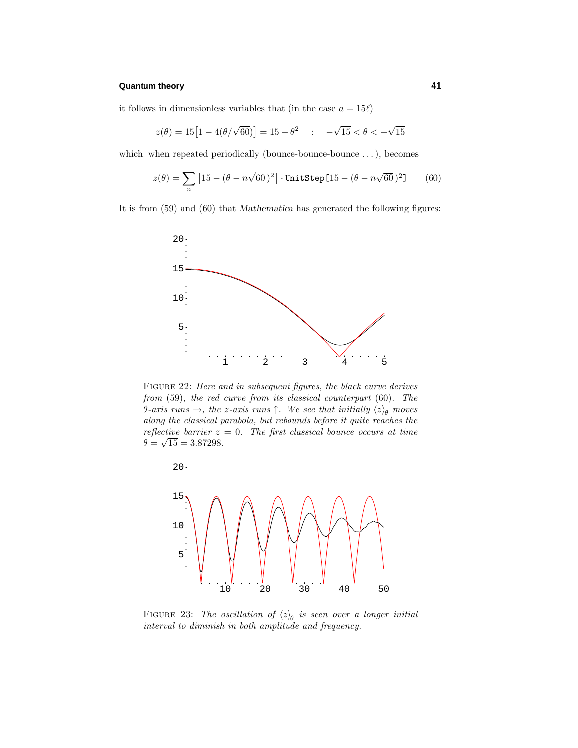it follows in dimensionless variables that (in the case  $a = 15\ell$ )

$$
z(\theta) = 15[1 - 4(\theta/\sqrt{60})] = 15 - \theta^2 \quad : \quad -\sqrt{15} < \theta < +\sqrt{15}
$$

which, when repeated periodically (bounce-bounce-bounce *...*), becomes

$$
z(\theta) = \sum_{n} \left[ 15 - (\theta - n\sqrt{60})^2 \right] \cdot \text{UnitStep}[15 - (\theta - n\sqrt{60})^2] \tag{60}
$$

It is from (59) and (60) that *Mathematica* has generated the following figures:



FIGURE 22: Here and in subsequent figures, the black curve derives from (59), the red curve from its classical counterpart (60). The *θ*-axis runs  $\rightarrow$ , the *z*-axis runs  $\uparrow$ . We see that initially  $\langle z \rangle_{\theta}$  moves along the classical parabola, but rebounds before it quite reaches the reflective barrier  $z = 0$ . The first classical bounce occurs at time  $\theta = \sqrt{15} = 3.87298.$ 



FIGURE 23: The oscillation of  $\langle z \rangle_{\theta}$  is seen over a longer initial interval to diminish in both amplitude and frequency.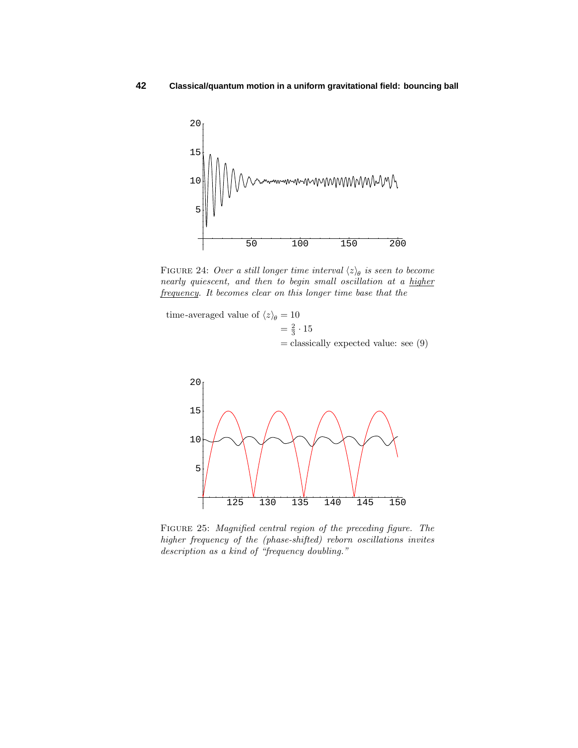

FIGURE 24: Over a still longer time interval  $\langle z \rangle_{\theta}$  is seen to become nearly quiescent, and then to begin small oscillation at a higher frequency. It becomes clear on this longer time base that the

time-averaged value of  $\langle z \rangle_{\theta} = 10$  $= \frac{2}{3} \cdot 15$  $=$  classically expected value: see  $(9)$ 



Figure 25: Magnified central region of the preceding figure. The higher frequency of the (phase-shifted) reborn oscillations invites description as a kind of "frequency doubling."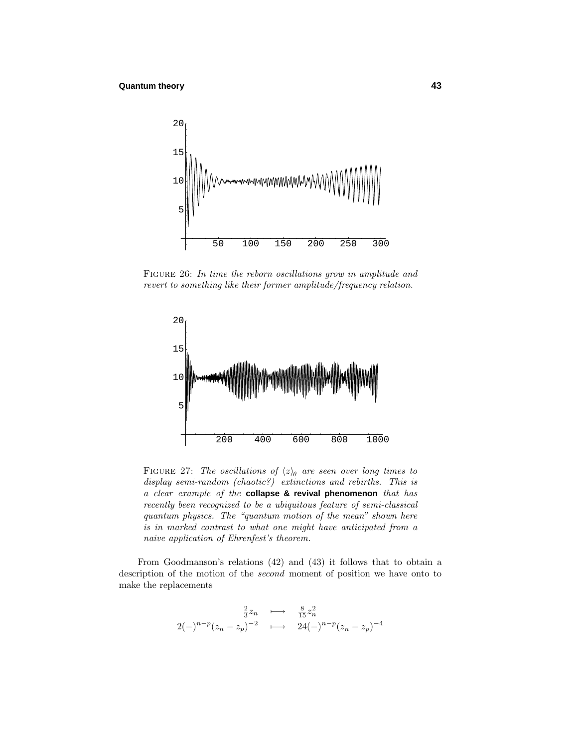

FIGURE 26: In time the reborn oscillations grow in amplitude and revert to something like their former amplitude/frequency relation.



FIGURE 27: The oscillations of  $\langle z \rangle_{\theta}$  are seen over long times to display semi-random (chaotic?) extinctions and rebirths. This is a clear example of the **collapse & revival phenomenon** that has recently been recognized to be a ubiquitous feature of semi-classical quantum physics. The "quantum motion of the mean" shown here is in marked contrast to what one might have anticipated from a naive application of Ehrenfest's theorem.

From Goodmanson's relations (42) and (43) it follows that to obtain a description of the motion of the second moment of position we have onto to make the replacements

$$
2(-)^{n-p}(z_n - z_p)^{-2} \longrightarrow \frac{\frac{8}{15}z_n^2}{24(-)^{n-p}(z_n - z_p)^{-4}}
$$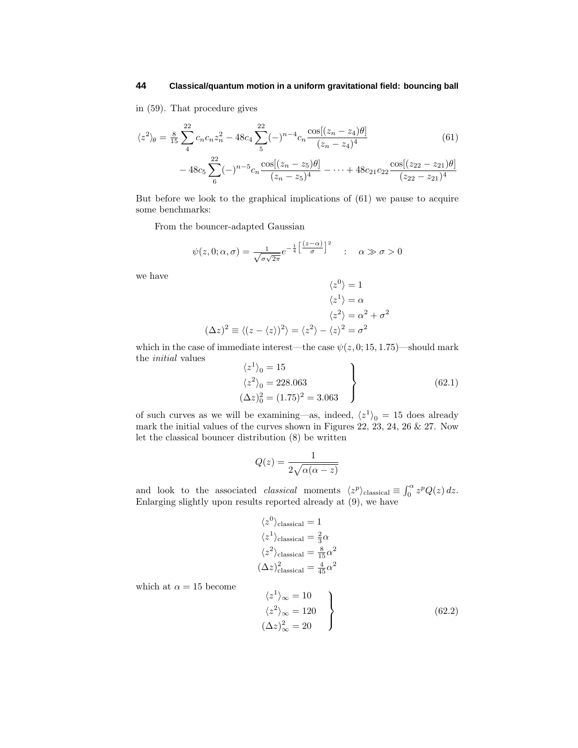in (59). That procedure gives

$$
\langle z^2 \rangle_{\theta} = \frac{8}{15} \sum_{4}^{22} c_n c_n z_n^2 - 48 c_4 \sum_{5}^{22} (-)^{n-4} c_n \frac{\cos[(z_n - z_4)\theta]}{(z_n - z_4)^4}
$$
(61)  
- 48c<sub>5</sub>  $\sum_{6}^{22} (-)^{n-5} c_n \frac{\cos[(z_n - z_5)\theta]}{(z_n - z_5)^4} - \dots + 48c_{21} c_{22} \frac{\cos[(z_{22} - z_{21})\theta]}{(z_{22} - z_{21})^4}$ 

But before we look to the graphical implications of (61) we pause to acquire some benchmarks:

From the bouncer-adapted Gaussian

$$
\psi(z,0;\alpha,\sigma) = \frac{1}{\sqrt{\sigma\sqrt{2\pi}}}e^{-\frac{1}{4}\left[\frac{(z-\alpha)}{\sigma}\right]^2} \quad : \quad \alpha \gg \sigma > 0
$$

we have

$$
\langle z^0 \rangle = 1
$$
  
\n
$$
\langle z^1 \rangle = \alpha
$$
  
\n
$$
\langle z^2 \rangle = \alpha^2 + \sigma^2
$$
  
\n
$$
(\Delta z)^2 \equiv \langle (z - \langle z \rangle)^2 \rangle = \langle z^2 \rangle - \langle z \rangle^2 = \sigma^2
$$

which in the case of immediate interest—the case  $\psi(z, 0; 15, 1.75)$ —should mark the initial values

$$
\langle z^1 \rangle_0 = 15
$$
  
\n
$$
\langle z^2 \rangle_0 = 228.063
$$
  
\n
$$
(\Delta z)_0^2 = (1.75)^2 = 3.063
$$
\n(62.1)

of such curves as we will be examining—as, indeed,  $\langle z^1 \rangle_0 = 15$  does already mark the initial values of the curves shown in Figures 22, 23, 24, 26 & 27. Now let the classical bouncer distribution (8) be written

$$
Q(z) = \frac{1}{2\sqrt{\alpha(\alpha - z)}}
$$

and look to the associated *classical* moments  $\langle z^p \rangle$ classical  $\equiv \int_0^\alpha z^p Q(z) dz$ . Enlarging slightly upon results reported already at (9), we have

$$
\langle z^0 \rangle_{\text{classical}} = 1
$$
  
\n
$$
\langle z^1 \rangle_{\text{classical}} = \frac{2}{3}\alpha
$$
  
\n
$$
\langle z^2 \rangle_{\text{classical}} = \frac{8}{15}\alpha^2
$$
  
\n
$$
(\Delta z)^2_{\text{classical}} = \frac{4}{45}\alpha^2
$$
  
\n
$$
\langle z^1 \rangle_{\infty} = 10
$$

which at  $\alpha = 15$  become

$$
\langle z^1 \rangle_{\infty} = 10
$$
  

$$
\langle z^2 \rangle_{\infty} = 120
$$
  

$$
(\Delta z)^2_{\infty} = 20
$$
 (62.2)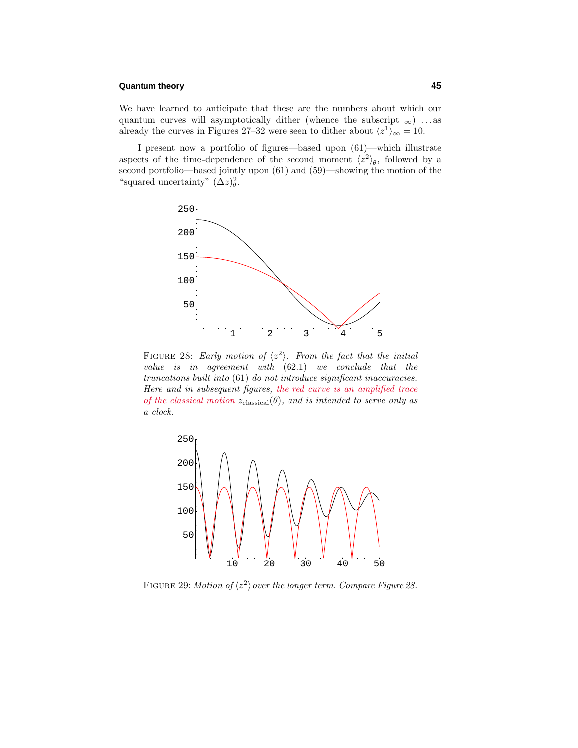We have learned to anticipate that these are the numbers about which our quantum curves will asymptotically dither (whence the subscript  $_{\infty}$ ) ...as already the curves in Figures 27–32 were seen to dither about  $\langle z^1 \rangle_{\infty} = 10$ .

I present now a portfolio of figures—based upon (61)—which illustrate aspects of the time-dependence of the second moment  $\langle z^2 \rangle_{\theta}$ , followed by a second portfolio—based jointly upon (61) and (59)—showing the motion of the "squared uncertainty"  $(\Delta z)_{\theta}^2$ .



FIGURE 28: Early motion of  $\langle z^2 \rangle$ . From the fact that the initial value is in agreement with (62*.*1) we conclude that the truncations built into (61) do not introduce significant inaccuracies. Here and in subsequent figures, the red curve is an amplified trace of the classical motion  $z_{\text{classical}}(\theta)$ , and is intended to serve only as a clock.



FIGURE 29: Motion of  $\langle z^2 \rangle$  over the longer term. Compare Figure 28.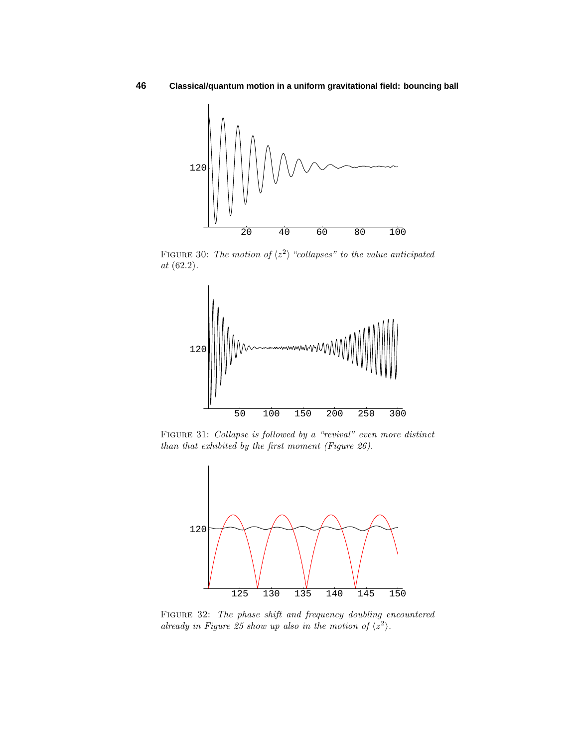

FIGURE 30: The motion of  $\langle z^2 \rangle$  "collapses" to the value anticipated at (62*.*2).



Figure 31: Collapse is followed by a "revival" even more distinct than that exhibited by the first moment (Figure 26).



FIGURE 32: The phase shift and frequency doubling encountered already in Figure 25 show up also in the motion of  $\langle z^2 \rangle$ .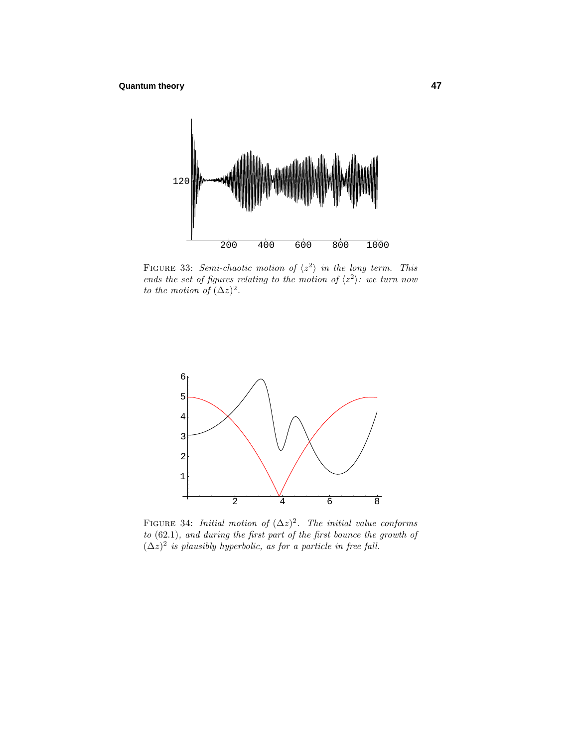

FIGURE 33: Semi-chaotic motion of  $\langle z^2 \rangle$  in the long term. This ends the set of figures relating to the motion of  $\langle z^2 \rangle$ : we turn now to the motion of  $(\Delta z)^2$ .



FIGURE 34: *Initial motion of*  $(\Delta z)^2$ . The *initial value conforms* to (62*.*1), and during the first part of the first bounce the growth of  $(\Delta z)^2$  *is plausibly hyperbolic, as for a particle in free fall.*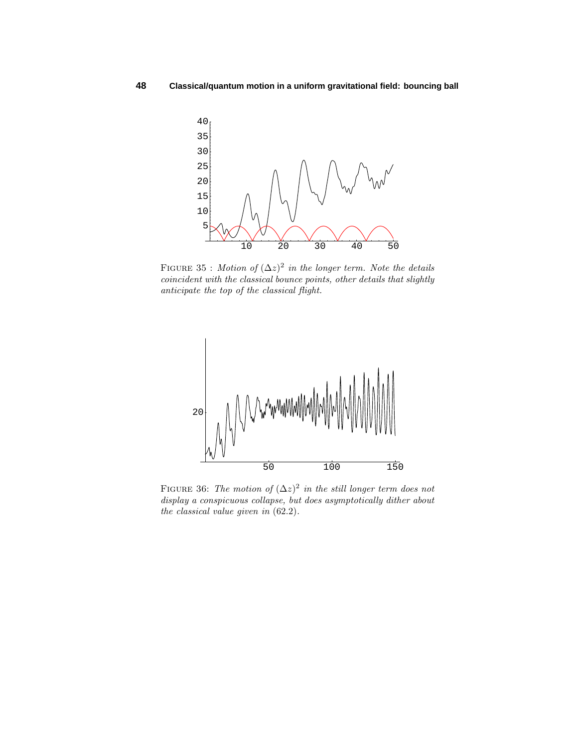

FIGURE 35 : Motion of  $(\Delta z)^2$  in the longer term. Note the details coincident with the classical bounce points, other details that slightly anticipate the top of the classical flight.



FIGURE 36: The motion of  $(\Delta z)^2$  in the still longer term does not display a conspicuous collapse, but does asymptotically dither about the classical value given in (62*.*2).